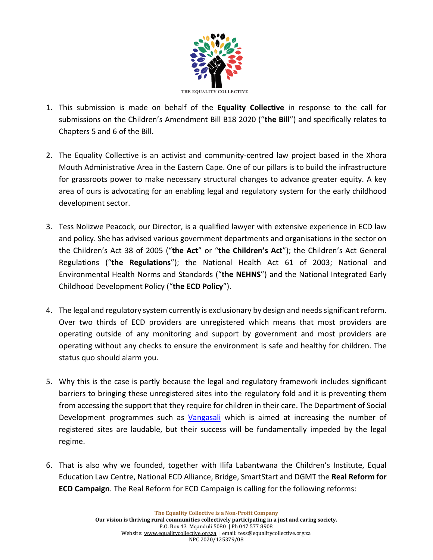

- 1. This submission is made on behalf of the **Equality Collective** in response to the call for submissions on the Children's Amendment Bill B18 2020 ("**the Bill**") and specifically relates to Chapters 5 and 6 of the Bill.
- 2. The Equality Collective is an activist and community-centred law project based in the Xhora Mouth Administrative Area in the Eastern Cape. One of our pillars is to build the infrastructure for grassroots power to make necessary structural changes to advance greater equity. A key area of ours is advocating for an enabling legal and regulatory system for the early childhood development sector.
- 3. Tess Nolizwe Peacock, our Director, is a qualified lawyer with extensive experience in ECD law and policy. She has advised various government departments and organisations in the sector on the Children's Act 38 of 2005 ("**the Act**" or "**the Children's Act**"); the Children's Act General Regulations ("**the Regulations**"); the National Health Act 61 of 2003; National and Environmental Health Norms and Standards ("**the NEHNS**") and the National Integrated Early Childhood Development Policy ("**the ECD Policy**").
- 4. The legal and regulatory system currently is exclusionary by design and needs significant reform. Over two thirds of ECD providers are unregistered which means that most providers are operating outside of any monitoring and support by government and most providers are operating without any checks to ensure the environment is safe and healthy for children. The status quo should alarm you.
- 5. Why this is the case is partly because the legal and regulatory framework includes significant barriers to bringing these unregistered sites into the regulatory fold and it is preventing them from accessing the support that they require for children in their care. The Department of Social Development programmes such as [Vangasali](https://www.nelsonmandela.org/vangasali) which is aimed at increasing the number of registered sites are laudable, but their success will be fundamentally impeded by the legal regime.
- 6. That is also why we founded, together with Ilifa Labantwana the Children's Institute, Equal Education Law Centre, National ECD Alliance, Bridge, SmartStart and DGMT the **Real Reform for ECD Campaign**. The Real Reform for ECD Campaign is calling for the following reforms: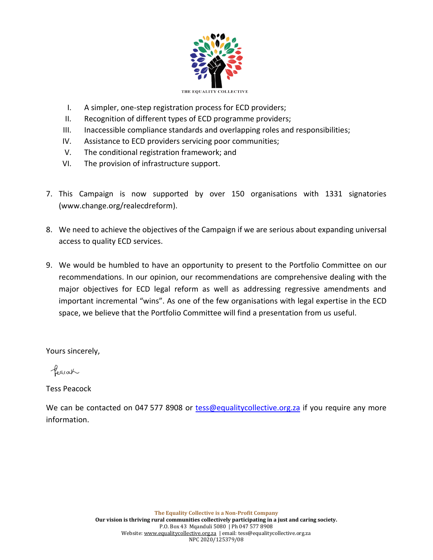

- I. A simpler, one-step registration process for ECD providers;
- II. Recognition of different types of ECD programme providers;
- III. Inaccessible compliance standards and overlapping roles and responsibilities;
- IV. Assistance to ECD providers servicing poor communities;
- V. The conditional registration framework; and
- VI. The provision of infrastructure support.
- 7. This Campaign is now supported by over 150 organisations with 1331 signatories [\(www.change.org/realecdreform\)](http://www.change.org/realecdreform).
- 8. We need to achieve the objectives of the Campaign if we are serious about expanding universal access to quality ECD services.
- 9. We would be humbled to have an opportunity to present to the Portfolio Committee on our recommendations. In our opinion, our recommendations are comprehensive dealing with the major objectives for ECD legal reform as well as addressing regressive amendments and important incremental "wins". As one of the few organisations with legal expertise in the ECD space, we believe that the Portfolio Committee will find a presentation from us useful.

Yours sincerely,

Pearach

Tess Peacock

We can be contacted on 047 577 8908 or [tess@equalitycollective.org.za](mailto:tess@equalitycollective.org.za) if you require any more information.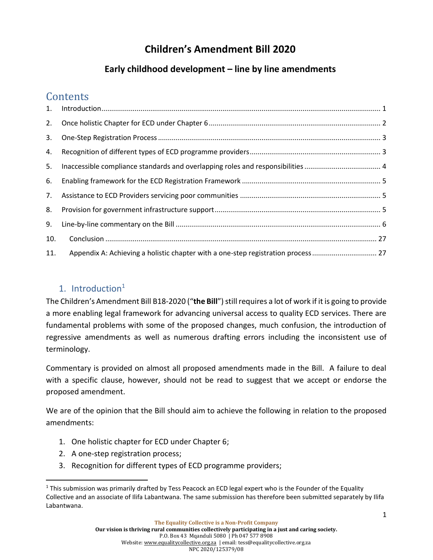# **Children's Amendment Bill 2020**

## **Early childhood development – line by line amendments**

## **Contents**

| 2.  |                                                                                   |  |
|-----|-----------------------------------------------------------------------------------|--|
| 3.  |                                                                                   |  |
| 4.  |                                                                                   |  |
| 5.  |                                                                                   |  |
| 6.  |                                                                                   |  |
| 7.  |                                                                                   |  |
| 8.  |                                                                                   |  |
| 9.  |                                                                                   |  |
| 10. |                                                                                   |  |
| 11. | Appendix A: Achieving a holistic chapter with a one-step registration process  27 |  |

## <span id="page-2-0"></span>1. Introduction $1$

The Children's Amendment Bill B18-2020 ("**the Bill**") still requires a lot of work if it is going to provide a more enabling legal framework for advancing universal access to quality ECD services. There are fundamental problems with some of the proposed changes, much confusion, the introduction of regressive amendments as well as numerous drafting errors including the inconsistent use of terminology.

Commentary is provided on almost all proposed amendments made in the Bill. A failure to deal with a specific clause, however, should not be read to suggest that we accept or endorse the proposed amendment.

We are of the opinion that the Bill should aim to achieve the following in relation to the proposed amendments:

- 1. One holistic chapter for ECD under Chapter 6;
- 2. A one-step registration process;
- 3. Recognition for different types of ECD programme providers;

<sup>&</sup>lt;sup>1</sup> This submission was primarily drafted by Tess Peacock an ECD legal expert who is the Founder of the Equality Collective and an associate of Ilifa Labantwana. The same submission has therefore been submitted separately by Ilifa Labantwana.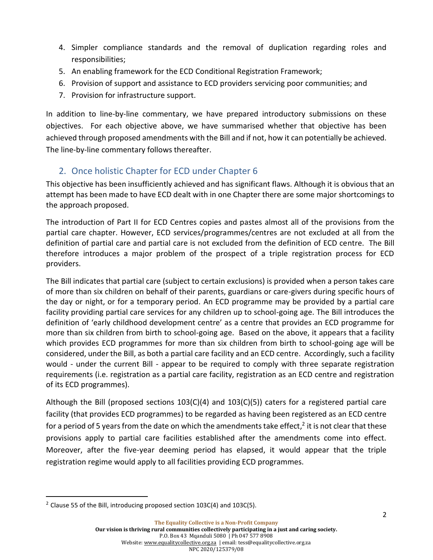- 4. Simpler compliance standards and the removal of duplication regarding roles and responsibilities;
- 5. An enabling framework for the ECD Conditional Registration Framework;
- 6. Provision of support and assistance to ECD providers servicing poor communities; and
- 7. Provision for infrastructure support.

In addition to line-by-line commentary, we have prepared introductory submissions on these objectives. For each objective above, we have summarised whether that objective has been achieved through proposed amendments with the Bill and if not, how it can potentially be achieved. The line-by-line commentary follows thereafter.

### <span id="page-3-0"></span>2. Once holistic Chapter for ECD under Chapter 6

This objective has been insufficiently achieved and has significant flaws. Although it is obvious that an attempt has been made to have ECD dealt with in one Chapter there are some major shortcomings to the approach proposed.

The introduction of Part II for ECD Centres copies and pastes almost all of the provisions from the partial care chapter. However, ECD services/programmes/centres are not excluded at all from the definition of partial care and partial care is not excluded from the definition of ECD centre. The Bill therefore introduces a major problem of the prospect of a triple registration process for ECD providers.

The Bill indicates that partial care (subject to certain exclusions) is provided when a person takes care of more than six children on behalf of their parents, guardians or care-givers during specific hours of the day or night, or for a temporary period. An ECD programme may be provided by a partial care facility providing partial care services for any children up to school-going age. The Bill introduces the definition of 'early childhood development centre' as a centre that provides an ECD programme for more than six children from birth to school-going age. Based on the above, it appears that a facility which provides ECD programmes for more than six children from birth to school-going age will be considered, under the Bill, as both a partial care facility and an ECD centre. Accordingly, such a facility would - under the current Bill - appear to be required to comply with three separate registration requirements (i.e. registration as a partial care facility, registration as an ECD centre and registration of its ECD programmes).

Although the Bill (proposed sections 103(C)(4) and 103(C)(5)) caters for a registered partial care facility (that provides ECD programmes) to be regarded as having been registered as an ECD centre for a period of 5 years from the date on which the amendments take effect,<sup>2</sup> it is not clear that these provisions apply to partial care facilities established after the amendments come into effect. Moreover, after the five-year deeming period has elapsed, it would appear that the triple registration regime would apply to all facilities providing ECD programmes.

 $2$  Clause 55 of the Bill, introducing proposed section 103C(4) and 103C(5).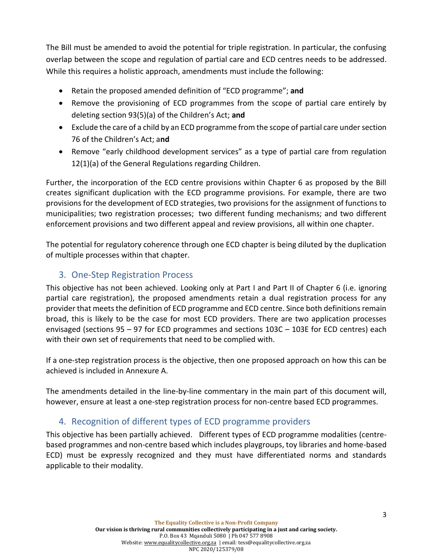The Bill must be amended to avoid the potential for triple registration. In particular, the confusing overlap between the scope and regulation of partial care and ECD centres needs to be addressed. While this requires a holistic approach, amendments must include the following:

- Retain the proposed amended definition of "ECD programme"; **and**
- Remove the provisioning of ECD programmes from the scope of partial care entirely by deleting section 93(5)(a) of the Children's Act; **and**
- Exclude the care of a child by an ECD programme from the scope of partial care under section 76 of the Children's Act; a**nd**
- Remove "early childhood development services" as a type of partial care from regulation 12(1)(a) of the General Regulations regarding Children.

Further, the incorporation of the ECD centre provisions within Chapter 6 as proposed by the Bill creates significant duplication with the ECD programme provisions. For example, there are two provisions for the development of ECD strategies, two provisions for the assignment of functions to municipalities; two registration processes; two different funding mechanisms; and two different enforcement provisions and two different appeal and review provisions, all within one chapter.

The potential for regulatory coherence through one ECD chapter is being diluted by the duplication of multiple processes within that chapter.

#### <span id="page-4-0"></span>3. One-Step Registration Process

This objective has not been achieved. Looking only at Part I and Part II of Chapter 6 (i.e. ignoring partial care registration), the proposed amendments retain a dual registration process for any provider that meets the definition of ECD programme and ECD centre. Since both definitions remain broad, this is likely to be the case for most ECD providers. There are two application processes envisaged (sections 95 – 97 for ECD programmes and sections 103C – 103E for ECD centres) each with their own set of requirements that need to be complied with.

If a one-step registration process is the objective, then one proposed approach on how this can be achieved is included in Annexure A.

The amendments detailed in the line-by-line commentary in the main part of this document will, however, ensure at least a one-step registration process for non-centre based ECD programmes.

#### <span id="page-4-1"></span>4. Recognition of different types of ECD programme providers

This objective has been partially achieved. Different types of ECD programme modalities (centrebased programmes and non-centre based which includes playgroups, toy libraries and home-based ECD) must be expressly recognized and they must have differentiated norms and standards applicable to their modality.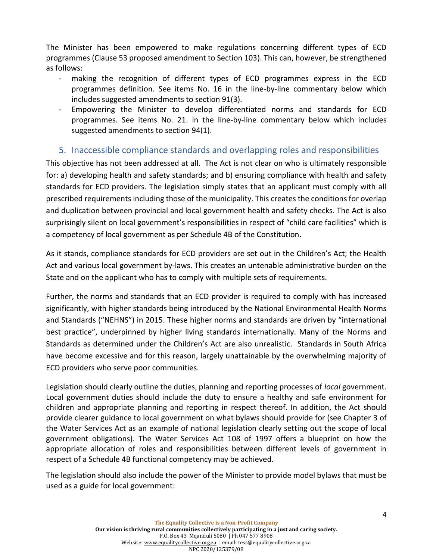The Minister has been empowered to make regulations concerning different types of ECD programmes (Clause 53 proposed amendment to Section 103). This can, however, be strengthened as follows:

- making the recognition of different types of ECD programmes express in the ECD programmes definition. See items No. 16 in the line-by-line commentary below which includes suggested amendments to section 91(3).
- Empowering the Minister to develop differentiated norms and standards for ECD programmes. See items No. 21. in the line-by-line commentary below which includes suggested amendments to section 94(1).

#### <span id="page-5-0"></span>5. Inaccessible compliance standards and overlapping roles and responsibilities

This objective has not been addressed at all. The Act is not clear on who is ultimately responsible for: a) developing health and safety standards; and b) ensuring compliance with health and safety standards for ECD providers. The legislation simply states that an applicant must comply with all prescribed requirements including those of the municipality. This creates the conditions for overlap and duplication between provincial and local government health and safety checks. The Act is also surprisingly silent on local government's responsibilities in respect of "child care facilities" which is a competency of local government as per Schedule 4B of the Constitution.

As it stands, compliance standards for ECD providers are set out in the Children's Act; the Health Act and various local government by-laws. This creates an untenable administrative burden on the State and on the applicant who has to comply with multiple sets of requirements.

Further, the norms and standards that an ECD provider is required to comply with has increased significantly, with higher standards being introduced by the National Environmental Health Norms and Standards ("NEHNS") in 2015. These higher norms and standards are driven by "international best practice", underpinned by higher living standards internationally. Many of the Norms and Standards as determined under the Children's Act are also unrealistic. Standards in South Africa have become excessive and for this reason, largely unattainable by the overwhelming majority of ECD providers who serve poor communities.

Legislation should clearly outline the duties, planning and reporting processes of *local* government. Local government duties should include the duty to ensure a healthy and safe environment for children and appropriate planning and reporting in respect thereof. In addition, the Act should provide clearer guidance to local government on what bylaws should provide for (see Chapter 3 of the Water Services Act as an example of national legislation clearly setting out the scope of local government obligations). The Water Services Act 108 of 1997 offers a blueprint on how the appropriate allocation of roles and responsibilities between different levels of government in respect of a Schedule 4B functional competency may be achieved.

The legislation should also include the power of the Minister to provide model bylaws that must be used as a guide for local government: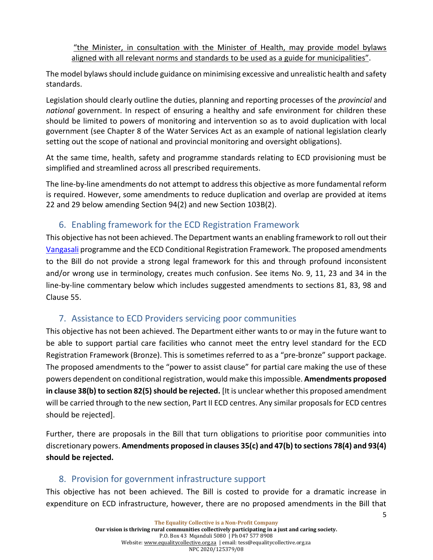"the Minister, in consultation with the Minister of Health, may provide model bylaws aligned with all relevant norms and standards to be used as a guide for municipalities".

The model bylaws should include guidance on minimising excessive and unrealistic health and safety standards.

Legislation should clearly outline the duties, planning and reporting processes of the *provincial* and *national* government. In respect of ensuring a healthy and safe environment for children these should be limited to powers of monitoring and intervention so as to avoid duplication with local government (see Chapter 8 of the Water Services Act as an example of national legislation clearly setting out the scope of national and provincial monitoring and oversight obligations).

At the same time, health, safety and programme standards relating to ECD provisioning must be simplified and streamlined across all prescribed requirements.

<span id="page-6-0"></span>The line-by-line amendments do not attempt to address this objective as more fundamental reform is required. However, some amendments to reduce duplication and overlap are provided at items 22 and 29 below amending Section 94(2) and new Section 103B(2).

## 6. Enabling framework for the ECD Registration Framework

This objective has not been achieved. The Department wants an enabling framework to roll out their [Vangasali](https://www.nelsonmandela.org/vangasali) programme and the ECD Conditional Registration Framework. The proposed amendments to the Bill do not provide a strong legal framework for this and through profound inconsistent and/or wrong use in terminology, creates much confusion. See items No. 9, 11, 23 and 34 in the line-by-line commentary below which includes suggested amendments to sections 81, 83, 98 and Clause 55.

#### <span id="page-6-1"></span>7. Assistance to ECD Providers servicing poor communities

This objective has not been achieved. The Department either wants to or may in the future want to be able to support partial care facilities who cannot meet the entry level standard for the ECD Registration Framework (Bronze). This is sometimes referred to as a "pre-bronze" support package. The proposed amendments to the "power to assist clause" for partial care making the use of these powers dependent on conditional registration, would make this impossible. **Amendments proposed in clause 38(b) to section 82(5) should be rejected.** [It is unclear whether this proposed amendment will be carried through to the new section, Part II ECD centres. Any similar proposals for ECD centres should be rejected].

Further, there are proposals in the Bill that turn obligations to prioritise poor communities into discretionary powers. **Amendments proposed in clauses 35(c) and 47(b) to sections 78(4) and 93(4) should be rejected.** 

#### <span id="page-6-2"></span>8. Provision for government infrastructure support

This objective has not been achieved. The Bill is costed to provide for a dramatic increase in expenditure on ECD infrastructure, however, there are no proposed amendments in the Bill that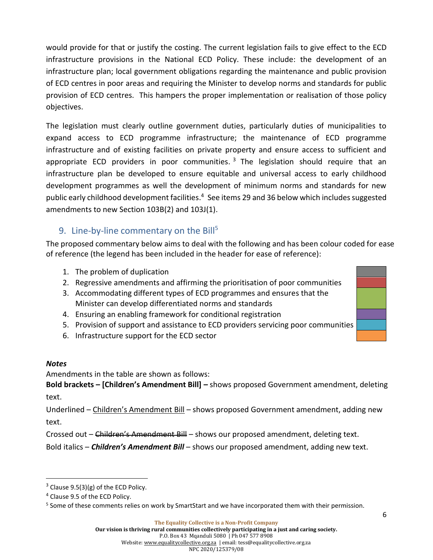would provide for that or justify the costing. The current legislation fails to give effect to the ECD infrastructure provisions in the National ECD Policy. These include: the development of an infrastructure plan; local government obligations regarding the maintenance and public provision of ECD centres in poor areas and requiring the Minister to develop norms and standards for public provision of ECD centres. This hampers the proper implementation or realisation of those policy objectives.

The legislation must clearly outline government duties, particularly duties of municipalities to expand access to ECD programme infrastructure; the maintenance of ECD programme infrastructure and of existing facilities on private property and ensure access to sufficient and appropriate ECD providers in poor communities.<sup>3</sup> The legislation should require that an infrastructure plan be developed to ensure equitable and universal access to early childhood development programmes as well the development of minimum norms and standards for new public early childhood development facilities.<sup>4</sup> See items 29 and 36 below which includes suggested amendments to new Section 103B(2) and 103J(1).

### <span id="page-7-0"></span>9. Line-by-line commentary on the Bill<sup>5</sup>

The proposed commentary below aims to deal with the following and has been colour coded for ease of reference (the legend has been included in the header for ease of reference):

- 1. The problem of duplication
- 2. Regressive amendments and affirming the prioritisation of poor communities
- 3. Accommodating different types of ECD programmes and ensures that the Minister can develop differentiated norms and standards
- 4. Ensuring an enabling framework for conditional registration
- 5. Provision of support and assistance to ECD providers servicing poor communities
- 6. Infrastructure support for the ECD sector

#### *Notes*

Amendments in the table are shown as follows:

**Bold brackets – [Children's Amendment Bill] –** shows proposed Government amendment, deleting text.

Underlined – Children's Amendment Bill – shows proposed Government amendment, adding new text.

Crossed out – Children's Amendment Bill – shows our proposed amendment, deleting text.

Bold italics – *Children's Amendment Bill* – shows our proposed amendment, adding new text.

 $3$  Clause 9.5(3)(g) of the ECD Policy.

<sup>4</sup> Clause 9.5 of the ECD Policy.

<sup>&</sup>lt;sup>5</sup> Some of these comments relies on work by SmartStart and we have incorporated them with their permission.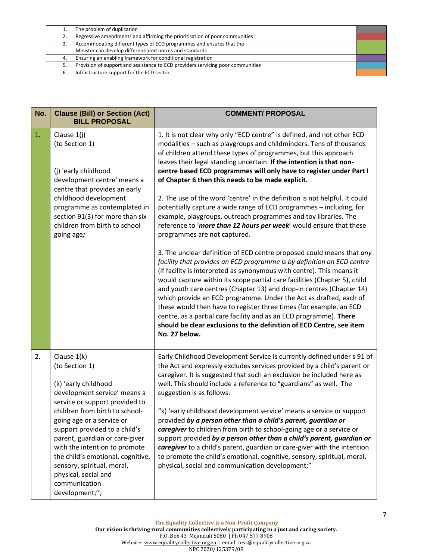|    | The problem of duplication                                                      |  |
|----|---------------------------------------------------------------------------------|--|
| 2. | Regressive amendments and affirming the prioritisation of poor communities      |  |
| 3. | Accommodating different types of ECD programmes and ensures that the            |  |
|    | Minister can develop differentiated norms and standards                         |  |
| 4. | Ensuring an enabling framework for conditional registration                     |  |
| 5. | Provision of support and assistance to ECD providers servicing poor communities |  |
| 6. | Infrastructure support for the ECD sector                                       |  |

| <b>Clause (Bill) or Section (Act)</b><br><b>BILL PROPOSAL</b>                                                                                                                                                                                                               | <b>COMMENT/ PROPOSAL</b>                                                                                                                                                                                                                                                                                                                                                                                                                                                                                                                                                                                                                                                                |
|-----------------------------------------------------------------------------------------------------------------------------------------------------------------------------------------------------------------------------------------------------------------------------|-----------------------------------------------------------------------------------------------------------------------------------------------------------------------------------------------------------------------------------------------------------------------------------------------------------------------------------------------------------------------------------------------------------------------------------------------------------------------------------------------------------------------------------------------------------------------------------------------------------------------------------------------------------------------------------------|
| Clause 1(j)<br>(to Section 1)                                                                                                                                                                                                                                               | 1. It is not clear why only "ECD centre" is defined, and not other ECD<br>modalities - such as playgroups and childminders. Tens of thousands<br>of children attend these types of programmes, but this approach<br>leaves their legal standing uncertain. If the intention is that non-                                                                                                                                                                                                                                                                                                                                                                                                |
| (j) 'early childhood<br>development centre' means a<br>centre that provides an early<br>childhood development<br>programme as contemplated in<br>section 91(3) for more than six<br>children from birth to school<br>going age;                                             | centre based ECD programmes will only have to register under Part I<br>of Chapter 6 then this needs to be made explicit.                                                                                                                                                                                                                                                                                                                                                                                                                                                                                                                                                                |
|                                                                                                                                                                                                                                                                             | 2. The use of the word 'centre' in the definition is not helpful. It could<br>potentially capture a wide range of ECD programmes - including, for<br>example, playgroups, outreach programmes and toy libraries. The<br>reference to 'more than 12 hours per week' would ensure that these<br>programmes are not captured.                                                                                                                                                                                                                                                                                                                                                              |
|                                                                                                                                                                                                                                                                             | 3. The unclear definition of ECD centre proposed could means that any<br>facility that provides an ECD programme is by definition an ECD centre<br>(if facility is interpreted as synonymous with centre). This means it<br>would capture within its scope partial care facilities (Chapter 5), child<br>and youth care centres (Chapter 13) and drop-in centres (Chapter 14)<br>which provide an ECD programme. Under the Act as drafted, each of<br>these would then have to register three times (for example, an ECD<br>centre, as a partial care facility and as an ECD programme). There<br>should be clear exclusions to the definition of ECD Centre, see item<br>No. 27 below. |
| Clause $1(k)$<br>(to Section 1)<br>(k) 'early childhood<br>development service' means a                                                                                                                                                                                     | Early Childhood Development Service is currently defined under s 91 of<br>the Act and expressly excludes services provided by a child's parent or<br>caregiver. It is suggested that such an exclusion be included here as<br>well. This should include a reference to "guardians" as well. The<br>suggestion is as follows:                                                                                                                                                                                                                                                                                                                                                            |
| children from birth to school-<br>going age or a service or<br>support provided to a child's<br>parent, guardian or care-giver<br>with the intention to promote<br>the child's emotional, cognitive,<br>sensory, spiritual, moral,<br>physical, social and<br>communication | "k) 'early childhood development service' means a service or support<br>provided by a person other than a child's parent, guardian or<br>caregiver to children from birth to school-going age or a service or<br>support provided by a person other than a child's parent, guardian or<br>caregiver to a child's parent, guardian or care-giver with the intention<br>to promote the child's emotional, cognitive, sensory, spiritual, moral,<br>physical, social and communication development;"                                                                                                                                                                                       |
|                                                                                                                                                                                                                                                                             | service or support provided to<br>development;";                                                                                                                                                                                                                                                                                                                                                                                                                                                                                                                                                                                                                                        |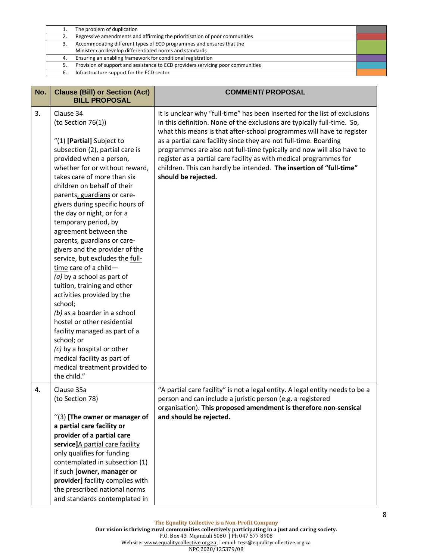|    | The problem of duplication                                                      |  |
|----|---------------------------------------------------------------------------------|--|
| 2. | Regressive amendments and affirming the prioritisation of poor communities      |  |
|    | Accommodating different types of ECD programmes and ensures that the            |  |
|    | Minister can develop differentiated norms and standards                         |  |
| 4. | Ensuring an enabling framework for conditional registration                     |  |
|    | Provision of support and assistance to ECD providers servicing poor communities |  |
| 6. | Infrastructure support for the ECD sector                                       |  |

| No. | <b>Clause (Bill) or Section (Act)</b><br><b>BILL PROPOSAL</b>                                                                                                                                                                                                                                                                                                                                                                                                                                                                                                                                                                                                                                                                                                                                                                               | <b>COMMENT/ PROPOSAL</b>                                                                                                                                                                                                                                                                                                                                                                                                                                                                                                                         |
|-----|---------------------------------------------------------------------------------------------------------------------------------------------------------------------------------------------------------------------------------------------------------------------------------------------------------------------------------------------------------------------------------------------------------------------------------------------------------------------------------------------------------------------------------------------------------------------------------------------------------------------------------------------------------------------------------------------------------------------------------------------------------------------------------------------------------------------------------------------|--------------------------------------------------------------------------------------------------------------------------------------------------------------------------------------------------------------------------------------------------------------------------------------------------------------------------------------------------------------------------------------------------------------------------------------------------------------------------------------------------------------------------------------------------|
| 3.  | Clause 34<br>(to Section 76(1))<br>"(1) [Partial] Subject to<br>subsection (2), partial care is<br>provided when a person,<br>whether for or without reward,<br>takes care of more than six<br>children on behalf of their<br>parents, guardians or care-<br>givers during specific hours of<br>the day or night, or for a<br>temporary period, by<br>agreement between the<br>parents, guardians or care-<br>givers and the provider of the<br>service, but excludes the full-<br>time care of a child-<br>$(a)$ by a school as part of<br>tuition, training and other<br>activities provided by the<br>school;<br>(b) as a boarder in a school<br>hostel or other residential<br>facility managed as part of a<br>school; or<br>(c) by a hospital or other<br>medical facility as part of<br>medical treatment provided to<br>the child." | It is unclear why "full-time" has been inserted for the list of exclusions<br>in this definition. None of the exclusions are typically full-time. So,<br>what this means is that after-school programmes will have to register<br>as a partial care facility since they are not full-time. Boarding<br>programmes are also not full-time typically and now will also have to<br>register as a partial care facility as with medical programmes for<br>children. This can hardly be intended. The insertion of "full-time"<br>should be rejected. |
| 4.  | Clause 35a<br>(to Section 78)<br>"(3) [The owner or manager of<br>a partial care facility or<br>provider of a partial care<br>service]A partial care facility<br>only qualifies for funding<br>contemplated in subsection (1)<br>if such [owner, manager or<br>provider] facility complies with<br>the prescribed national norms<br>and standards contemplated in                                                                                                                                                                                                                                                                                                                                                                                                                                                                           | "A partial care facility" is not a legal entity. A legal entity needs to be a<br>person and can include a juristic person (e.g. a registered<br>organisation). This proposed amendment is therefore non-sensical<br>and should be rejected.                                                                                                                                                                                                                                                                                                      |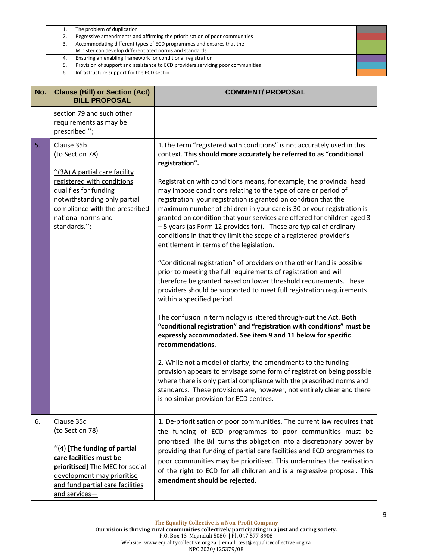|    | The problem of duplication                                                      |  |
|----|---------------------------------------------------------------------------------|--|
| 2. | Regressive amendments and affirming the prioritisation of poor communities      |  |
| 3. | Accommodating different types of ECD programmes and ensures that the            |  |
|    | Minister can develop differentiated norms and standards                         |  |
| 4. | Ensuring an enabling framework for conditional registration                     |  |
| 5. | Provision of support and assistance to ECD providers servicing poor communities |  |
| 6. | Infrastructure support for the ECD sector                                       |  |

| No. | <b>Clause (Bill) or Section (Act)</b><br><b>BILL PROPOSAL</b>                                                                                                                                                                 | <b>COMMENT/ PROPOSAL</b>                                                                                                                                                                                                                                                                                                                                                                                                                                                                                                                                                                                                                                                                                                                                                                                                                                                                                                                                                                                                                                                                                                                                                                                                                                                                                                                                                                                                                                                                                                                                                                                                        |
|-----|-------------------------------------------------------------------------------------------------------------------------------------------------------------------------------------------------------------------------------|---------------------------------------------------------------------------------------------------------------------------------------------------------------------------------------------------------------------------------------------------------------------------------------------------------------------------------------------------------------------------------------------------------------------------------------------------------------------------------------------------------------------------------------------------------------------------------------------------------------------------------------------------------------------------------------------------------------------------------------------------------------------------------------------------------------------------------------------------------------------------------------------------------------------------------------------------------------------------------------------------------------------------------------------------------------------------------------------------------------------------------------------------------------------------------------------------------------------------------------------------------------------------------------------------------------------------------------------------------------------------------------------------------------------------------------------------------------------------------------------------------------------------------------------------------------------------------------------------------------------------------|
|     | section 79 and such other<br>requirements as may be<br>prescribed.";                                                                                                                                                          |                                                                                                                                                                                                                                                                                                                                                                                                                                                                                                                                                                                                                                                                                                                                                                                                                                                                                                                                                                                                                                                                                                                                                                                                                                                                                                                                                                                                                                                                                                                                                                                                                                 |
| 5.  | Clause 35b<br>(to Section 78)<br>"(3A) A partial care facility<br>registered with conditions<br>qualifies for funding<br>notwithstanding only partial<br>compliance with the prescribed<br>national norms and<br>standards."; | 1. The term "registered with conditions" is not accurately used in this<br>context. This should more accurately be referred to as "conditional<br>registration".<br>Registration with conditions means, for example, the provincial head<br>may impose conditions relating to the type of care or period of<br>registration: your registration is granted on condition that the<br>maximum number of children in your care is 30 or your registration is<br>granted on condition that your services are offered for children aged 3<br>- 5 years (as Form 12 provides for). These are typical of ordinary<br>conditions in that they limit the scope of a registered provider's<br>entitlement in terms of the legislation.<br>"Conditional registration" of providers on the other hand is possible<br>prior to meeting the full requirements of registration and will<br>therefore be granted based on lower threshold requirements. These<br>providers should be supported to meet full registration requirements<br>within a specified period.<br>The confusion in terminology is littered through-out the Act. Both<br>"conditional registration" and "registration with conditions" must be<br>expressly accommodated. See item 9 and 11 below for specific<br>recommendations.<br>2. While not a model of clarity, the amendments to the funding<br>provision appears to envisage some form of registration being possible<br>where there is only partial compliance with the prescribed norms and<br>standards. These provisions are, however, not entirely clear and there<br>is no similar provision for ECD centres. |
| 6.  | Clause 35c<br>(to Section 78)<br>"(4) [The funding of partial<br>care facilities must be<br>prioritised] The MEC for social<br>development may prioritise<br>and fund partial care facilities<br>and services-                | 1. De-prioritisation of poor communities. The current law requires that<br>the funding of ECD programmes to poor communities must be<br>prioritised. The Bill turns this obligation into a discretionary power by<br>providing that funding of partial care facilities and ECD programmes to<br>poor communities may be prioritised. This undermines the realisation<br>of the right to ECD for all children and is a regressive proposal. This<br>amendment should be rejected.                                                                                                                                                                                                                                                                                                                                                                                                                                                                                                                                                                                                                                                                                                                                                                                                                                                                                                                                                                                                                                                                                                                                                |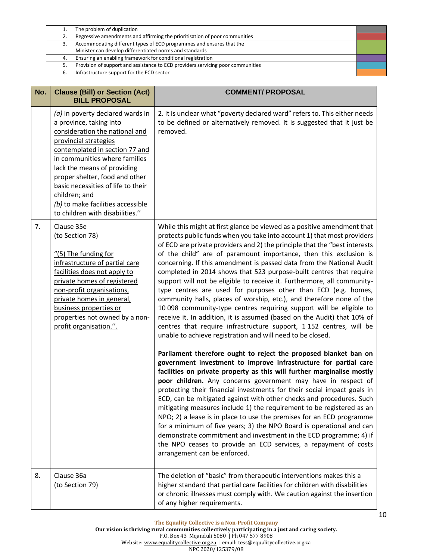|    | The problem of duplication                                                      |  |
|----|---------------------------------------------------------------------------------|--|
| 2. | Regressive amendments and affirming the prioritisation of poor communities      |  |
|    | Accommodating different types of ECD programmes and ensures that the            |  |
|    | Minister can develop differentiated norms and standards                         |  |
| 4. | Ensuring an enabling framework for conditional registration                     |  |
|    | Provision of support and assistance to ECD providers servicing poor communities |  |
|    | Infrastructure support for the ECD sector                                       |  |

| No. | <b>Clause (Bill) or Section (Act)</b><br><b>BILL PROPOSAL</b>                                                                                                                                                                                                                                                                                                                             | <b>COMMENT/ PROPOSAL</b>                                                                                                                                                                                                                                                                                                                                                                                                                                                                                                                                                                                                                                                                                                                                                                                                                                                                                                                                         |
|-----|-------------------------------------------------------------------------------------------------------------------------------------------------------------------------------------------------------------------------------------------------------------------------------------------------------------------------------------------------------------------------------------------|------------------------------------------------------------------------------------------------------------------------------------------------------------------------------------------------------------------------------------------------------------------------------------------------------------------------------------------------------------------------------------------------------------------------------------------------------------------------------------------------------------------------------------------------------------------------------------------------------------------------------------------------------------------------------------------------------------------------------------------------------------------------------------------------------------------------------------------------------------------------------------------------------------------------------------------------------------------|
|     | (a) in poverty declared wards in<br>a province, taking into<br>consideration the national and<br>provincial strategies<br>contemplated in section 77 and<br>in communities where families<br>lack the means of providing<br>proper shelter, food and other<br>basic necessities of life to their<br>children; and<br>(b) to make facilities accessible<br>to children with disabilities." | 2. It is unclear what "poverty declared ward" refers to. This either needs<br>to be defined or alternatively removed. It is suggested that it just be<br>removed.                                                                                                                                                                                                                                                                                                                                                                                                                                                                                                                                                                                                                                                                                                                                                                                                |
| 7.  | Clause 35e<br>(to Section 78)<br>$''(5)$ The funding for<br>infrastructure of partial care<br>facilities does not apply to<br>private homes of registered<br>non-profit organisations,<br>private homes in general,<br>business properties or<br>properties not owned by a non-<br>profit organisation.".                                                                                 | While this might at first glance be viewed as a positive amendment that<br>protects public funds when you take into account 1) that most providers<br>of ECD are private providers and 2) the principle that the "best interests<br>of the child" are of paramount importance, then this exclusion is<br>concerning. If this amendment is passed data from the National Audit<br>completed in 2014 shows that 523 purpose-built centres that require<br>support will not be eligible to receive it. Furthermore, all community-<br>type centres are used for purposes other than ECD (e.g. homes,<br>community halls, places of worship, etc.), and therefore none of the<br>10 098 community-type centres requiring support will be eligible to<br>receive it. In addition, it is assumed (based on the Audit) that 10% of<br>centres that require infrastructure support, 1 152 centres, will be<br>unable to achieve registration and will need to be closed. |
|     |                                                                                                                                                                                                                                                                                                                                                                                           | Parliament therefore ought to reject the proposed blanket ban on<br>government investment to improve infrastructure for partial care<br>facilities on private property as this will further marginalise mostly<br>poor children. Any concerns government may have in respect of<br>protecting their financial investments for their social impact goals in<br>ECD, can be mitigated against with other checks and procedures. Such<br>mitigating measures include 1) the requirement to be registered as an<br>NPO; 2) a lease is in place to use the premises for an ECD programme<br>for a minimum of five years; 3) the NPO Board is operational and can<br>demonstrate commitment and investment in the ECD programme; 4) if<br>the NPO ceases to provide an ECD services, a repayment of costs<br>arrangement can be enforced.                                                                                                                              |
| 8.  | Clause 36a<br>(to Section 79)                                                                                                                                                                                                                                                                                                                                                             | The deletion of "basic" from therapeutic interventions makes this a<br>higher standard that partial care facilities for children with disabilities<br>or chronic illnesses must comply with. We caution against the insertion<br>of any higher requirements.                                                                                                                                                                                                                                                                                                                                                                                                                                                                                                                                                                                                                                                                                                     |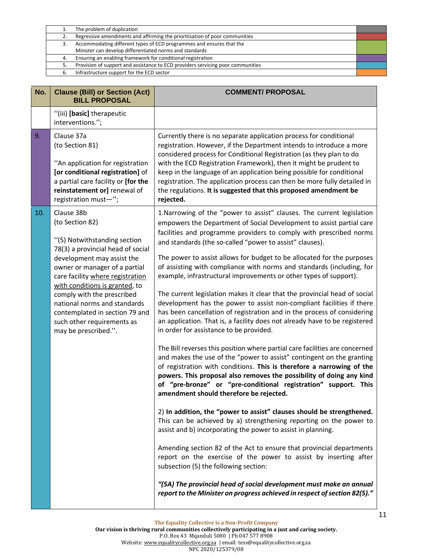|    | The problem of duplication                                                      |  |
|----|---------------------------------------------------------------------------------|--|
| 2. | Regressive amendments and affirming the prioritisation of poor communities      |  |
| 3. | Accommodating different types of ECD programmes and ensures that the            |  |
|    | Minister can develop differentiated norms and standards                         |  |
| 4. | Ensuring an enabling framework for conditional registration                     |  |
| 5. | Provision of support and assistance to ECD providers servicing poor communities |  |
| 6. | Infrastructure support for the ECD sector                                       |  |
|    |                                                                                 |  |

| No.                                                          | <b>Clause (Bill) or Section (Act)</b><br><b>BILL PROPOSAL</b>                                                                                                                                                                                                                                                                        | <b>COMMENT/ PROPOSAL</b>                                                                                                                                                                                                                                                                                                                                                                                                                                                                                                                                                                                                                                                                                                                                                                                                                                                                                                                                                                                                                                                                                                                                                                                                                                                                                                                                                                                                                                                                                                                                                                                                                                                                                                                                                                                                                          |
|--------------------------------------------------------------|--------------------------------------------------------------------------------------------------------------------------------------------------------------------------------------------------------------------------------------------------------------------------------------------------------------------------------------|---------------------------------------------------------------------------------------------------------------------------------------------------------------------------------------------------------------------------------------------------------------------------------------------------------------------------------------------------------------------------------------------------------------------------------------------------------------------------------------------------------------------------------------------------------------------------------------------------------------------------------------------------------------------------------------------------------------------------------------------------------------------------------------------------------------------------------------------------------------------------------------------------------------------------------------------------------------------------------------------------------------------------------------------------------------------------------------------------------------------------------------------------------------------------------------------------------------------------------------------------------------------------------------------------------------------------------------------------------------------------------------------------------------------------------------------------------------------------------------------------------------------------------------------------------------------------------------------------------------------------------------------------------------------------------------------------------------------------------------------------------------------------------------------------------------------------------------------------|
| interventions.";                                             | "(iii) [basic] therapeutic                                                                                                                                                                                                                                                                                                           |                                                                                                                                                                                                                                                                                                                                                                                                                                                                                                                                                                                                                                                                                                                                                                                                                                                                                                                                                                                                                                                                                                                                                                                                                                                                                                                                                                                                                                                                                                                                                                                                                                                                                                                                                                                                                                                   |
| 9.<br>Clause 37a<br>(to Section 81)<br>registration must-";  | "An application for registration<br>[or conditional registration] of<br>a partial care facility or [for the<br>reinstatement or] renewal of                                                                                                                                                                                          | Currently there is no separate application process for conditional<br>registration. However, if the Department intends to introduce a more<br>considered process for Conditional Registration (as they plan to do<br>with the ECD Registration Framework), then it might be prudent to<br>keep in the language of an application being possible for conditional<br>registration. The application process can then be more fully detailed in<br>the regulations. It is suggested that this proposed amendment be<br>rejected.                                                                                                                                                                                                                                                                                                                                                                                                                                                                                                                                                                                                                                                                                                                                                                                                                                                                                                                                                                                                                                                                                                                                                                                                                                                                                                                      |
| 10.<br>Clause 38b<br>(to Section 82)<br>may be prescribed.". | "(5) Notwithstanding section<br>78(3) a provincial head of social<br>development may assist the<br>owner or manager of a partial<br>care facility where registration<br>with conditions is granted, to<br>comply with the prescribed<br>national norms and standards<br>contemplated in section 79 and<br>such other requirements as | 1. Narrowing of the "power to assist" clauses. The current legislation<br>empowers the Department of Social Development to assist partial care<br>facilities and programme providers to comply with prescribed norms<br>and standards (the so-called "power to assist" clauses).<br>The power to assist allows for budget to be allocated for the purposes<br>of assisting with compliance with norms and standards (including, for<br>example, infrastructural improvements or other types of support).<br>The current legislation makes it clear that the provincial head of social<br>development has the power to assist non-compliant facilities if there<br>has been cancellation of registration and in the process of considering<br>an application. That is, a facility does not already have to be registered<br>in order for assistance to be provided.<br>The Bill reverses this position where partial care facilities are concerned<br>and makes the use of the "power to assist" contingent on the granting<br>of registration with conditions. This is therefore a narrowing of the<br>powers. This proposal also removes the possibility of doing any kind<br>of "pre-bronze" or "pre-conditional registration" support. This<br>amendment should therefore be rejected.<br>2) In addition, the "power to assist" clauses should be strengthened.<br>This can be achieved by a) strengthening reporting on the power to<br>assist and b) incorporating the power to assist in planning.<br>Amending section 82 of the Act to ensure that provincial departments<br>report on the exercise of the power to assist by inserting after<br>subsection (5) the following section:<br>"(5A) The provincial head of social development must make an annual<br>report to the Minister on progress achieved in respect of section 82(5)." |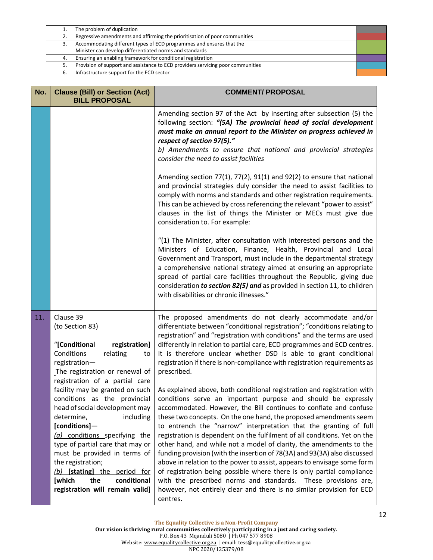|    | The problem of duplication                                                      |  |
|----|---------------------------------------------------------------------------------|--|
| 2. | Regressive amendments and affirming the prioritisation of poor communities      |  |
|    | Accommodating different types of ECD programmes and ensures that the            |  |
|    | Minister can develop differentiated norms and standards                         |  |
| 4. | Ensuring an enabling framework for conditional registration                     |  |
|    | Provision of support and assistance to ECD providers servicing poor communities |  |
|    | Infrastructure support for the ECD sector                                       |  |
|    |                                                                                 |  |

|                                                                                                                                                                                                                                                                                                                                                                            | Amending section 97 of the Act by inserting after subsection (5) the<br>following section: "(5A) The provincial head of social development<br>must make an annual report to the Minister on progress achieved in<br>respect of section 97(5)."<br>b) Amendments to ensure that national and provincial strategies<br>consider the need to assist facilities                                                                                                                                                                                                                                                                                                                                                                                                                                                                                                                                         |
|----------------------------------------------------------------------------------------------------------------------------------------------------------------------------------------------------------------------------------------------------------------------------------------------------------------------------------------------------------------------------|-----------------------------------------------------------------------------------------------------------------------------------------------------------------------------------------------------------------------------------------------------------------------------------------------------------------------------------------------------------------------------------------------------------------------------------------------------------------------------------------------------------------------------------------------------------------------------------------------------------------------------------------------------------------------------------------------------------------------------------------------------------------------------------------------------------------------------------------------------------------------------------------------------|
|                                                                                                                                                                                                                                                                                                                                                                            | Amending section $77(1)$ , $77(2)$ , $91(1)$ and $92(2)$ to ensure that national<br>and provincial strategies duly consider the need to assist facilities to<br>comply with norms and standards and other registration requirements.<br>This can be achieved by cross referencing the relevant "power to assist"<br>clauses in the list of things the Minister or MECs must give due<br>consideration to. For example:                                                                                                                                                                                                                                                                                                                                                                                                                                                                              |
|                                                                                                                                                                                                                                                                                                                                                                            | "(1) The Minister, after consultation with interested persons and the<br>Ministers of Education, Finance, Health, Provincial and Local<br>Government and Transport, must include in the departmental strategy<br>a comprehensive national strategy aimed at ensuring an appropriate<br>spread of partial care facilities throughout the Republic, giving due<br>consideration to section 82(5) and as provided in section 11, to children<br>with disabilities or chronic illnesses."                                                                                                                                                                                                                                                                                                                                                                                                               |
| Clause 39<br>(to Section 83)<br>"[Conditional<br>registration]<br>Conditions<br>relating<br>to<br>registration-<br>The registration or renewal of                                                                                                                                                                                                                          | The proposed amendments do not clearly accommodate and/or<br>differentiate between "conditional registration"; "conditions relating to<br>registration" and "registration with conditions" and the terms are used<br>differently in relation to partial care, ECD programmes and ECD centres.<br>It is therefore unclear whether DSD is able to grant conditional<br>registration if there is non-compliance with registration requirements as<br>prescribed.                                                                                                                                                                                                                                                                                                                                                                                                                                       |
| facility may be granted on such<br>conditions as the provincial<br>head of social development may<br>determine,<br>including<br>[conditions]-<br>(a) conditions specifying the<br>type of partial care that may or<br>must be provided in terms of<br>the registration;<br>(b) [stating] the period for<br>[which<br>the<br>conditional<br>registration will remain valid] | As explained above, both conditional registration and registration with<br>conditions serve an important purpose and should be expressly<br>accommodated. However, the Bill continues to conflate and confuse<br>these two concepts. On the one hand, the proposed amendments seem<br>to entrench the "narrow" interpretation that the granting of full<br>registration is dependent on the fulfilment of all conditions. Yet on the<br>other hand, and while not a model of clarity, the amendments to the<br>funding provision (with the insertion of 78(3A) and 93(3A) also discussed<br>above in relation to the power to assist, appears to envisage some form<br>of registration being possible where there is only partial compliance<br>with the prescribed norms and standards. These provisions are,<br>however, not entirely clear and there is no similar provision for ECD<br>centres. |
|                                                                                                                                                                                                                                                                                                                                                                            | registration of a partial care                                                                                                                                                                                                                                                                                                                                                                                                                                                                                                                                                                                                                                                                                                                                                                                                                                                                      |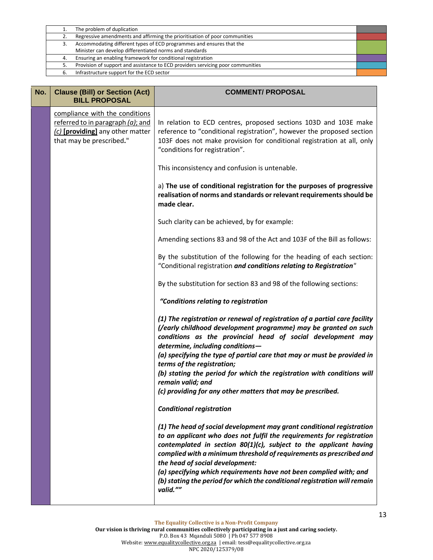|    | The problem of duplication                                                      |  |
|----|---------------------------------------------------------------------------------|--|
| 2. | Regressive amendments and affirming the prioritisation of poor communities      |  |
|    | Accommodating different types of ECD programmes and ensures that the            |  |
|    | Minister can develop differentiated norms and standards                         |  |
| 4. | Ensuring an enabling framework for conditional registration                     |  |
|    | Provision of support and assistance to ECD providers servicing poor communities |  |
|    | Infrastructure support for the ECD sector                                       |  |
|    |                                                                                 |  |

| No. | <b>Clause (Bill) or Section (Act)</b><br><b>BILL PROPOSAL</b>                                                                          | <b>COMMENT/ PROPOSAL</b>                                                                                                                                                                                                                                                                                                                                                                                                                                                                     |
|-----|----------------------------------------------------------------------------------------------------------------------------------------|----------------------------------------------------------------------------------------------------------------------------------------------------------------------------------------------------------------------------------------------------------------------------------------------------------------------------------------------------------------------------------------------------------------------------------------------------------------------------------------------|
|     | compliance with the conditions<br>referred to in paragraph $(a)$ ; and<br>(c) [providing] any other matter<br>that may be prescribed." | In relation to ECD centres, proposed sections 103D and 103E make<br>reference to "conditional registration", however the proposed section<br>103F does not make provision for conditional registration at all, only<br>"conditions for registration".                                                                                                                                                                                                                                        |
|     |                                                                                                                                        | This inconsistency and confusion is untenable.                                                                                                                                                                                                                                                                                                                                                                                                                                               |
|     |                                                                                                                                        | a) The use of conditional registration for the purposes of progressive<br>realisation of norms and standards or relevant requirements should be<br>made clear.                                                                                                                                                                                                                                                                                                                               |
|     |                                                                                                                                        | Such clarity can be achieved, by for example:                                                                                                                                                                                                                                                                                                                                                                                                                                                |
|     |                                                                                                                                        | Amending sections 83 and 98 of the Act and 103F of the Bill as follows:                                                                                                                                                                                                                                                                                                                                                                                                                      |
|     |                                                                                                                                        | By the substitution of the following for the heading of each section:<br>"Conditional registration and conditions relating to Registration"                                                                                                                                                                                                                                                                                                                                                  |
|     |                                                                                                                                        | By the substitution for section 83 and 98 of the following sections:                                                                                                                                                                                                                                                                                                                                                                                                                         |
|     |                                                                                                                                        | "Conditions relating to registration                                                                                                                                                                                                                                                                                                                                                                                                                                                         |
|     |                                                                                                                                        | (1) The registration or renewal of registration of a partial care facility<br>(/early childhood development programme) may be granted on such<br>conditions as the provincial head of social development may<br>determine, including conditions-<br>(a) specifying the type of partial care that may or must be provided in<br>terms of the registration;<br>(b) stating the period for which the registration with conditions will                                                          |
|     |                                                                                                                                        | remain valid; and<br>(c) providing for any other matters that may be prescribed.                                                                                                                                                                                                                                                                                                                                                                                                             |
|     |                                                                                                                                        | <b>Conditional registration</b>                                                                                                                                                                                                                                                                                                                                                                                                                                                              |
|     |                                                                                                                                        | (1) The head of social development may grant conditional registration<br>to an applicant who does not fulfil the requirements for registration<br>contemplated in section 80(1)(c), subject to the applicant having<br>complied with a minimum threshold of requirements as prescribed and<br>the head of social development:<br>(a) specifying which requirements have not been complied with; and<br>(b) stating the period for which the conditional registration will remain<br>valid."" |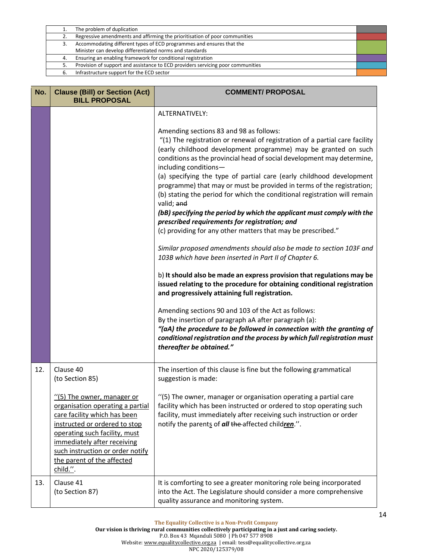|    | The problem of duplication                                                      |  |
|----|---------------------------------------------------------------------------------|--|
| 2. | Regressive amendments and affirming the prioritisation of poor communities      |  |
|    | Accommodating different types of ECD programmes and ensures that the            |  |
|    | Minister can develop differentiated norms and standards                         |  |
| 4. | Ensuring an enabling framework for conditional registration                     |  |
|    | Provision of support and assistance to ECD providers servicing poor communities |  |
|    | Infrastructure support for the ECD sector                                       |  |
|    |                                                                                 |  |

| No. | <b>Clause (Bill) or Section (Act)</b><br><b>BILL PROPOSAL</b>                                                                                                                                                                                                                 | <b>COMMENT/ PROPOSAL</b>                                                                                                                                                                                                                                                                                                                                                                                                                                                                                                                                                                                                                                                                                                                                                                                                                                                                                                                                                                                                                                                                                                                                                                                                                                                                                                                                                    |
|-----|-------------------------------------------------------------------------------------------------------------------------------------------------------------------------------------------------------------------------------------------------------------------------------|-----------------------------------------------------------------------------------------------------------------------------------------------------------------------------------------------------------------------------------------------------------------------------------------------------------------------------------------------------------------------------------------------------------------------------------------------------------------------------------------------------------------------------------------------------------------------------------------------------------------------------------------------------------------------------------------------------------------------------------------------------------------------------------------------------------------------------------------------------------------------------------------------------------------------------------------------------------------------------------------------------------------------------------------------------------------------------------------------------------------------------------------------------------------------------------------------------------------------------------------------------------------------------------------------------------------------------------------------------------------------------|
|     |                                                                                                                                                                                                                                                                               | ALTERNATIVELY:                                                                                                                                                                                                                                                                                                                                                                                                                                                                                                                                                                                                                                                                                                                                                                                                                                                                                                                                                                                                                                                                                                                                                                                                                                                                                                                                                              |
|     |                                                                                                                                                                                                                                                                               | Amending sections 83 and 98 as follows:<br>"(1) The registration or renewal of registration of a partial care facility<br>(early childhood development programme) may be granted on such<br>conditions as the provincial head of social development may determine,<br>including conditions-<br>(a) specifying the type of partial care (early childhood development<br>programme) that may or must be provided in terms of the registration;<br>(b) stating the period for which the conditional registration will remain<br>valid; and<br>(bB) specifying the period by which the applicant must comply with the<br>prescribed requirements for registration; and<br>(c) providing for any other matters that may be prescribed."<br>Similar proposed amendments should also be made to section 103F and<br>103B which have been inserted in Part II of Chapter 6.<br>b) It should also be made an express provision that regulations may be<br>issued relating to the procedure for obtaining conditional registration<br>and progressively attaining full registration.<br>Amending sections 90 and 103 of the Act as follows:<br>By the insertion of paragraph aA after paragraph (a):<br>"(aA) the procedure to be followed in connection with the granting of<br>conditional registration and the process by which full registration must<br>thereafter be obtained." |
| 12. | Clause 40<br>(to Section 85)                                                                                                                                                                                                                                                  | The insertion of this clause is fine but the following grammatical<br>suggestion is made:                                                                                                                                                                                                                                                                                                                                                                                                                                                                                                                                                                                                                                                                                                                                                                                                                                                                                                                                                                                                                                                                                                                                                                                                                                                                                   |
|     | "(5) The owner, manager or<br>organisation operating a partial<br>care facility which has been<br>instructed or ordered to stop<br>operating such facility, must<br>immediately after receiving<br>such instruction or order notify<br>the parent of the affected<br>child.". | "(5) The owner, manager or organisation operating a partial care<br>facility which has been instructed or ordered to stop operating such<br>facility, must immediately after receiving such instruction or order<br>notify the parents of all the affected children.".                                                                                                                                                                                                                                                                                                                                                                                                                                                                                                                                                                                                                                                                                                                                                                                                                                                                                                                                                                                                                                                                                                      |
| 13. | Clause 41<br>(to Section 87)                                                                                                                                                                                                                                                  | It is comforting to see a greater monitoring role being incorporated<br>into the Act. The Legislature should consider a more comprehensive<br>quality assurance and monitoring system.                                                                                                                                                                                                                                                                                                                                                                                                                                                                                                                                                                                                                                                                                                                                                                                                                                                                                                                                                                                                                                                                                                                                                                                      |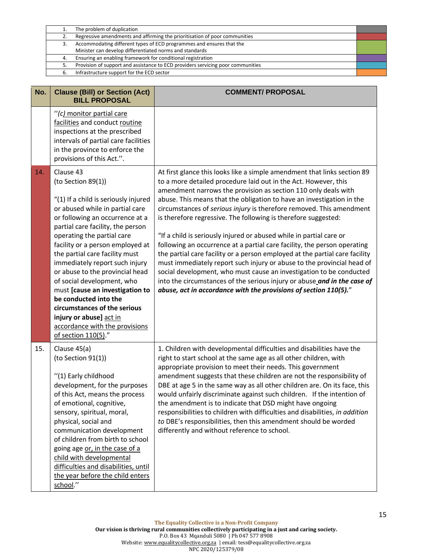|    | The problem of duplication                                                      |  |
|----|---------------------------------------------------------------------------------|--|
|    | Regressive amendments and affirming the prioritisation of poor communities      |  |
| 3. | Accommodating different types of ECD programmes and ensures that the            |  |
|    | Minister can develop differentiated norms and standards                         |  |
| 4. | Ensuring an enabling framework for conditional registration                     |  |
| 5. | Provision of support and assistance to ECD providers servicing poor communities |  |
| 6. | Infrastructure support for the ECD sector                                       |  |
|    |                                                                                 |  |

| No. | <b>Clause (Bill) or Section (Act)</b><br><b>BILL PROPOSAL</b>                                                                                                                                                                                                                                                                                                                                                                                                                                                                                                             | <b>COMMENT/ PROPOSAL</b>                                                                                                                                                                                                                                                                                                                                                                                                                                                                                                                                                                                                                                                                                                                                                                                                                                                                                                                                            |
|-----|---------------------------------------------------------------------------------------------------------------------------------------------------------------------------------------------------------------------------------------------------------------------------------------------------------------------------------------------------------------------------------------------------------------------------------------------------------------------------------------------------------------------------------------------------------------------------|---------------------------------------------------------------------------------------------------------------------------------------------------------------------------------------------------------------------------------------------------------------------------------------------------------------------------------------------------------------------------------------------------------------------------------------------------------------------------------------------------------------------------------------------------------------------------------------------------------------------------------------------------------------------------------------------------------------------------------------------------------------------------------------------------------------------------------------------------------------------------------------------------------------------------------------------------------------------|
|     | "(c) monitor partial care<br>facilities and conduct routine<br>inspections at the prescribed<br>intervals of partial care facilities<br>in the province to enforce the<br>provisions of this Act.".                                                                                                                                                                                                                                                                                                                                                                       |                                                                                                                                                                                                                                                                                                                                                                                                                                                                                                                                                                                                                                                                                                                                                                                                                                                                                                                                                                     |
| 14. | Clause 43<br>(to Section 89(1))<br>"(1) If a child is seriously injured<br>or abused while in partial care<br>or following an occurrence at a<br>partial care facility, the person<br>operating the partial care<br>facility or a person employed at<br>the partial care facility must<br>immediately report such injury<br>or abuse to the provincial head<br>of social development, who<br>must [cause an investigation to<br>be conducted into the<br>circumstances of the serious<br>injury or abuse] act in<br>accordance with the provisions<br>of section 110(5)." | At first glance this looks like a simple amendment that links section 89<br>to a more detailed procedure laid out in the Act. However, this<br>amendment narrows the provision as section 110 only deals with<br>abuse. This means that the obligation to have an investigation in the<br>circumstances of serious injury is therefore removed. This amendment<br>is therefore regressive. The following is therefore suggested:<br>"If a child is seriously injured or abused while in partial care or<br>following an occurrence at a partial care facility, the person operating<br>the partial care facility or a person employed at the partial care facility<br>must immediately report such injury or abuse to the provincial head of<br>social development, who must cause an investigation to be conducted<br>into the circumstances of the serious injury or abuse and in the case of<br>abuse, act in accordance with the provisions of section 110(5)." |
| 15. | Clause 45(a)<br>(to Section 91(1))<br>"(1) Early childhood<br>development, for the purposes<br>of this Act, means the process<br>of emotional, cognitive,<br>sensory, spiritual, moral,<br>physical, social and<br>communication development<br>of children from birth to school<br>going age or, in the case of a<br>child with developmental<br>difficulties and disabilities, until<br>the year before the child enters<br>school."                                                                                                                                    | 1. Children with developmental difficulties and disabilities have the<br>right to start school at the same age as all other children, with<br>appropriate provision to meet their needs. This government<br>amendment suggests that these children are not the responsibility of<br>DBE at age 5 in the same way as all other children are. On its face, this<br>would unfairly discriminate against such children. If the intention of<br>the amendment is to indicate that DSD might have ongoing<br>responsibilities to children with difficulties and disabilities, in addition<br>to DBE's responsibilities, then this amendment should be worded<br>differently and without reference to school.                                                                                                                                                                                                                                                              |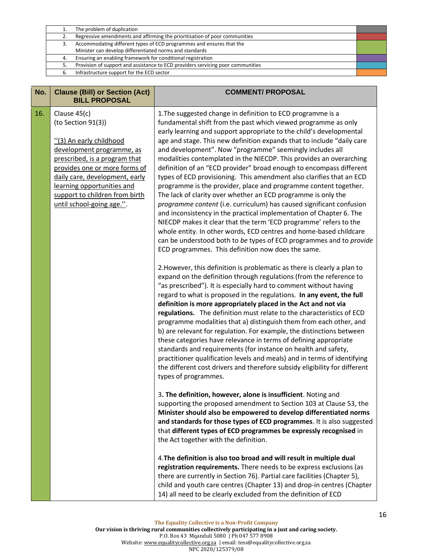|    | The problem of duplication                                                      |  |
|----|---------------------------------------------------------------------------------|--|
| 2. | Regressive amendments and affirming the prioritisation of poor communities      |  |
|    | Accommodating different types of ECD programmes and ensures that the            |  |
|    | Minister can develop differentiated norms and standards                         |  |
| 4. | Ensuring an enabling framework for conditional registration                     |  |
| 5. | Provision of support and assistance to ECD providers servicing poor communities |  |
|    | Infrastructure support for the ECD sector                                       |  |
|    |                                                                                 |  |

| No. | <b>Clause (Bill) or Section (Act)</b><br><b>BILL PROPOSAL</b>                                                                                                                                                                                                                               | <b>COMMENT/ PROPOSAL</b>                                                                                                                                                                                                                                                                                                                                                                                                                                                                                                                                                                                                                                                                                                                                                                                                                                                                                                                                                                                                                                                                                                                                                                                                                                                                                                                                                                                                                                                                                                                                                                                                                                                                                                                                                                                                                                                                                                                                                                                                |
|-----|---------------------------------------------------------------------------------------------------------------------------------------------------------------------------------------------------------------------------------------------------------------------------------------------|-------------------------------------------------------------------------------------------------------------------------------------------------------------------------------------------------------------------------------------------------------------------------------------------------------------------------------------------------------------------------------------------------------------------------------------------------------------------------------------------------------------------------------------------------------------------------------------------------------------------------------------------------------------------------------------------------------------------------------------------------------------------------------------------------------------------------------------------------------------------------------------------------------------------------------------------------------------------------------------------------------------------------------------------------------------------------------------------------------------------------------------------------------------------------------------------------------------------------------------------------------------------------------------------------------------------------------------------------------------------------------------------------------------------------------------------------------------------------------------------------------------------------------------------------------------------------------------------------------------------------------------------------------------------------------------------------------------------------------------------------------------------------------------------------------------------------------------------------------------------------------------------------------------------------------------------------------------------------------------------------------------------------|
| 16. | Clause 45(c)<br>(to Section 91(3))<br>"(3) An early childhood<br>development programme, as<br>prescribed, is a program that<br>provides one or more forms of<br>daily care, development, early<br>learning opportunities and<br>support to children from birth<br>until school-going age.". | 1. The suggested change in definition to ECD programme is a<br>fundamental shift from the past which viewed programme as only<br>early learning and support appropriate to the child's developmental<br>age and stage. This new definition expands that to include "daily care<br>and development". Now "programme" seemingly includes all<br>modalities contemplated in the NIECDP. This provides an overarching<br>definition of an "ECD provider" broad enough to encompass different<br>types of ECD provisioning. This amendment also clarifies that an ECD<br>programme is the provider, place and programme content together.<br>The lack of clarity over whether an ECD programme is only the<br>programme content (i.e. curriculum) has caused significant confusion<br>and inconsistency in the practical implementation of Chapter 6. The<br>NIECDP makes it clear that the term 'ECD programme' refers to the<br>whole entity. In other words, ECD centres and home-based childcare<br>can be understood both to be types of ECD programmes and to provide<br>ECD programmes. This definition now does the same.<br>2. However, this definition is problematic as there is clearly a plan to<br>expand on the definition through regulations (from the reference to<br>"as prescribed"). It is especially hard to comment without having<br>regard to what is proposed in the regulations. In any event, the full<br>definition is more appropriately placed in the Act and not via<br>regulations. The definition must relate to the characteristics of ECD<br>programme modalities that a) distinguish them from each other, and<br>b) are relevant for regulation. For example, the distinctions between<br>these categories have relevance in terms of defining appropriate<br>standards and requirements (for instance on health and safety,<br>practitioner qualification levels and meals) and in terms of identifying<br>the different cost drivers and therefore subsidy eligibility for different |
|     |                                                                                                                                                                                                                                                                                             | types of programmes.<br>3. The definition, however, alone is insufficient. Noting and<br>supporting the proposed amendment to Section 103 at Clause 53, the<br>Minister should also be empowered to develop differentiated norms<br>and standards for those types of ECD programmes. It is also suggested<br>that different types of ECD programmes be expressly recognised in<br>the Act together with the definition.<br>4. The definition is also too broad and will result in multiple dual<br>registration requirements. There needs to be express exclusions (as<br>there are currently in Section 76). Partial care facilities (Chapter 5),<br>child and youth care centres (Chapter 13) and drop-in centres (Chapter                                                                                                                                                                                                                                                                                                                                                                                                                                                                                                                                                                                                                                                                                                                                                                                                                                                                                                                                                                                                                                                                                                                                                                                                                                                                                            |
|     |                                                                                                                                                                                                                                                                                             |                                                                                                                                                                                                                                                                                                                                                                                                                                                                                                                                                                                                                                                                                                                                                                                                                                                                                                                                                                                                                                                                                                                                                                                                                                                                                                                                                                                                                                                                                                                                                                                                                                                                                                                                                                                                                                                                                                                                                                                                                         |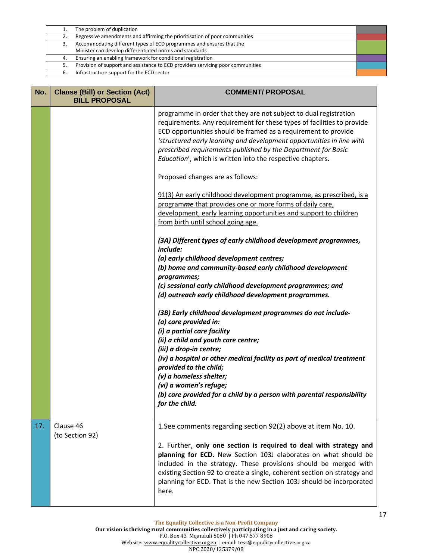|    | The problem of duplication                                                      |  |
|----|---------------------------------------------------------------------------------|--|
| 2. | Regressive amendments and affirming the prioritisation of poor communities      |  |
| 3. | Accommodating different types of ECD programmes and ensures that the            |  |
|    | Minister can develop differentiated norms and standards                         |  |
| 4. | Ensuring an enabling framework for conditional registration                     |  |
| 5. | Provision of support and assistance to ECD providers servicing poor communities |  |
| 6. | Infrastructure support for the ECD sector                                       |  |
|    |                                                                                 |  |

| No. | <b>Clause (Bill) or Section (Act)</b><br><b>BILL PROPOSAL</b> | <b>COMMENT/ PROPOSAL</b>                                                                                                                                                                                                                                                                                                                                                                                                                   |
|-----|---------------------------------------------------------------|--------------------------------------------------------------------------------------------------------------------------------------------------------------------------------------------------------------------------------------------------------------------------------------------------------------------------------------------------------------------------------------------------------------------------------------------|
|     |                                                               | programme in order that they are not subject to dual registration<br>requirements. Any requirement for these types of facilities to provide<br>ECD opportunities should be framed as a requirement to provide<br>'structured early learning and development opportunities in line with<br>prescribed requirements published by the Department for Basic<br>Education', which is written into the respective chapters.                      |
|     |                                                               | Proposed changes are as follows:                                                                                                                                                                                                                                                                                                                                                                                                           |
|     |                                                               | 91(3) An early childhood development programme, as prescribed, is a<br>programme that provides one or more forms of daily care,<br>development, early learning opportunities and support to children<br>from birth until school going age.                                                                                                                                                                                                 |
|     |                                                               | (3A) Different types of early childhood development programmes,<br>include:<br>(a) early childhood development centres;<br>(b) home and community-based early childhood development<br>programmes;<br>(c) sessional early childhood development programmes; and<br>(d) outreach early childhood development programmes.                                                                                                                    |
|     |                                                               | (3B) Early childhood development programmes do not include-<br>(a) care provided in:<br>(i) a partial care facility<br>(ii) a child and youth care centre;<br>(iii) a drop-in centre;<br>(iv) a hospital or other medical facility as part of medical treatment<br>provided to the child;<br>(v) a homeless shelter;<br>(vi) a women's refuge;<br>(b) care provided for a child by a person with parental responsibility<br>for the child. |
| 17. | Clause 46<br>(to Section 92)                                  | 1. See comments regarding section 92(2) above at item No. 10.<br>2. Further, only one section is required to deal with strategy and<br>planning for ECD. New Section 103J elaborates on what should be<br>included in the strategy. These provisions should be merged with<br>existing Section 92 to create a single, coherent section on strategy and<br>planning for ECD. That is the new Section 103J should be incorporated<br>here.   |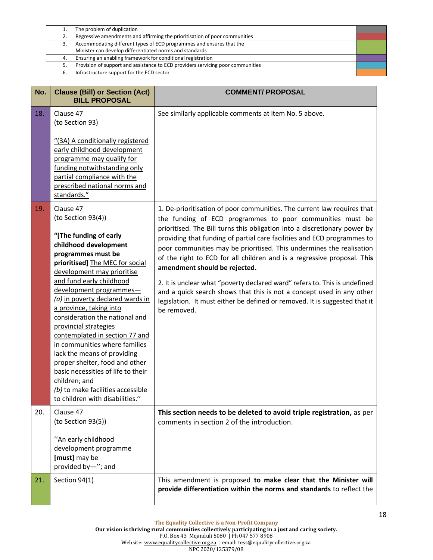|    | The problem of duplication                                                      |  |
|----|---------------------------------------------------------------------------------|--|
| 2. | Regressive amendments and affirming the prioritisation of poor communities      |  |
|    | Accommodating different types of ECD programmes and ensures that the            |  |
|    | Minister can develop differentiated norms and standards                         |  |
| 4. | Ensuring an enabling framework for conditional registration                     |  |
|    | Provision of support and assistance to ECD providers servicing poor communities |  |
| 6. | Infrastructure support for the ECD sector                                       |  |

| No. | <b>Clause (Bill) or Section (Act)</b><br><b>BILL PROPOSAL</b>                                                                                                                                                                                                                                                                                                                                                                                                                                                                                                                                                                 | <b>COMMENT/ PROPOSAL</b>                                                                                                                                                                                                                                                                                                                                                                                                                                                                                                                                                                                                                                                                                                             |
|-----|-------------------------------------------------------------------------------------------------------------------------------------------------------------------------------------------------------------------------------------------------------------------------------------------------------------------------------------------------------------------------------------------------------------------------------------------------------------------------------------------------------------------------------------------------------------------------------------------------------------------------------|--------------------------------------------------------------------------------------------------------------------------------------------------------------------------------------------------------------------------------------------------------------------------------------------------------------------------------------------------------------------------------------------------------------------------------------------------------------------------------------------------------------------------------------------------------------------------------------------------------------------------------------------------------------------------------------------------------------------------------------|
| 18. | Clause 47<br>(to Section 93)<br>"(3A) A conditionally registered<br>early childhood development<br>programme may qualify for<br>funding notwithstanding only<br>partial compliance with the<br>prescribed national norms and<br>standards."                                                                                                                                                                                                                                                                                                                                                                                   | See similarly applicable comments at item No. 5 above.                                                                                                                                                                                                                                                                                                                                                                                                                                                                                                                                                                                                                                                                               |
| 19. | Clause 47<br>(to Section 93(4))<br>"[The funding of early<br>childhood development<br>programmes must be<br>prioritised] The MEC for social<br>development may prioritise<br>and fund early childhood<br>development programmes-<br>(a) in poverty declared wards in<br>a province, taking into<br>consideration the national and<br>provincial strategies<br>contemplated in section 77 and<br>in communities where families<br>lack the means of providing<br>proper shelter, food and other<br>basic necessities of life to their<br>children; and<br>(b) to make facilities accessible<br>to children with disabilities." | 1. De-prioritisation of poor communities. The current law requires that<br>the funding of ECD programmes to poor communities must be<br>prioritised. The Bill turns this obligation into a discretionary power by<br>providing that funding of partial care facilities and ECD programmes to<br>poor communities may be prioritised. This undermines the realisation<br>of the right to ECD for all children and is a regressive proposal. This<br>amendment should be rejected.<br>2. It is unclear what "poverty declared ward" refers to. This is undefined<br>and a quick search shows that this is not a concept used in any other<br>legislation. It must either be defined or removed. It is suggested that it<br>be removed. |
| 20. | Clause 47<br>(to Section 93(5))<br>"An early childhood<br>development programme<br>[must] may be<br>provided by-"; and                                                                                                                                                                                                                                                                                                                                                                                                                                                                                                        | This section needs to be deleted to avoid triple registration, as per<br>comments in section 2 of the introduction.                                                                                                                                                                                                                                                                                                                                                                                                                                                                                                                                                                                                                  |
| 21. | Section 94(1)                                                                                                                                                                                                                                                                                                                                                                                                                                                                                                                                                                                                                 | This amendment is proposed to make clear that the Minister will<br>provide differentiation within the norms and standards to reflect the                                                                                                                                                                                                                                                                                                                                                                                                                                                                                                                                                                                             |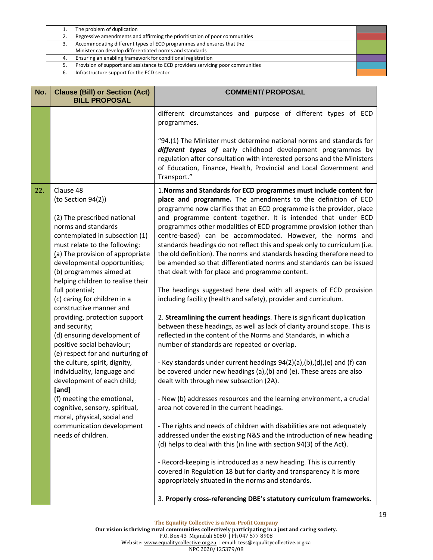|    | The problem of duplication                                                      |  |
|----|---------------------------------------------------------------------------------|--|
| 2. | Regressive amendments and affirming the prioritisation of poor communities      |  |
|    | Accommodating different types of ECD programmes and ensures that the            |  |
|    | Minister can develop differentiated norms and standards                         |  |
| 4. | Ensuring an enabling framework for conditional registration                     |  |
|    | Provision of support and assistance to ECD providers servicing poor communities |  |
|    | Infrastructure support for the ECD sector                                       |  |
|    |                                                                                 |  |

| No. | <b>Clause (Bill) or Section (Act)</b><br><b>BILL PROPOSAL</b>                                                                                                                                                                                                                                                                                                                                                                                                                                                                                                                                                                                                                                                                                                                          | <b>COMMENT/ PROPOSAL</b>                                                                                                                                                                                                                                                                                                                                                                                                                                                                                                                                                                                                                                                                                                                                                                                                                                                                                                                                                                                                                                                                                                                                                                                                                                                                                                                                                                                                                                                                                                                                                                                                                                                                                                                                                                                                                                                                                                                       |
|-----|----------------------------------------------------------------------------------------------------------------------------------------------------------------------------------------------------------------------------------------------------------------------------------------------------------------------------------------------------------------------------------------------------------------------------------------------------------------------------------------------------------------------------------------------------------------------------------------------------------------------------------------------------------------------------------------------------------------------------------------------------------------------------------------|------------------------------------------------------------------------------------------------------------------------------------------------------------------------------------------------------------------------------------------------------------------------------------------------------------------------------------------------------------------------------------------------------------------------------------------------------------------------------------------------------------------------------------------------------------------------------------------------------------------------------------------------------------------------------------------------------------------------------------------------------------------------------------------------------------------------------------------------------------------------------------------------------------------------------------------------------------------------------------------------------------------------------------------------------------------------------------------------------------------------------------------------------------------------------------------------------------------------------------------------------------------------------------------------------------------------------------------------------------------------------------------------------------------------------------------------------------------------------------------------------------------------------------------------------------------------------------------------------------------------------------------------------------------------------------------------------------------------------------------------------------------------------------------------------------------------------------------------------------------------------------------------------------------------------------------------|
|     |                                                                                                                                                                                                                                                                                                                                                                                                                                                                                                                                                                                                                                                                                                                                                                                        | different circumstances and purpose of different types of ECD<br>programmes.<br>"94.(1) The Minister must determine national norms and standards for<br>different types of early childhood development programmes by<br>regulation after consultation with interested persons and the Ministers<br>of Education, Finance, Health, Provincial and Local Government and<br>Transport."                                                                                                                                                                                                                                                                                                                                                                                                                                                                                                                                                                                                                                                                                                                                                                                                                                                                                                                                                                                                                                                                                                                                                                                                                                                                                                                                                                                                                                                                                                                                                           |
| 22. | Clause 48<br>(to Section 94(2))<br>(2) The prescribed national<br>norms and standards<br>contemplated in subsection (1)<br>must relate to the following:<br>(a) The provision of appropriate<br>developmental opportunities;<br>(b) programmes aimed at<br>helping children to realise their<br>full potential;<br>(c) caring for children in a<br>constructive manner and<br>providing, protection support<br>and security;<br>(d) ensuring development of<br>positive social behaviour;<br>(e) respect for and nurturing of<br>the culture, spirit, dignity,<br>individuality, language and<br>development of each child;<br>[and]<br>(f) meeting the emotional,<br>cognitive, sensory, spiritual,<br>moral, physical, social and<br>communication development<br>needs of children. | 1. Norms and Standards for ECD programmes must include content for<br>place and programme. The amendments to the definition of ECD<br>programme now clarifies that an ECD programme is the provider, place<br>and programme content together. It is intended that under ECD<br>programmes other modalities of ECD programme provision (other than<br>centre-based) can be accommodated. However, the norms and<br>standards headings do not reflect this and speak only to curriculum (i.e.<br>the old definition). The norms and standards heading therefore need to<br>be amended so that differentiated norms and standards can be issued<br>that dealt with for place and programme content.<br>The headings suggested here deal with all aspects of ECD provision<br>including facility (health and safety), provider and curriculum.<br>2. Streamlining the current headings. There is significant duplication<br>between these headings, as well as lack of clarity around scope. This is<br>reflected in the content of the Norms and Standards, in which a<br>number of standards are repeated or overlap.<br>- Key standards under current headings 94(2)(a),(b),(d),(e) and (f) can<br>be covered under new headings (a), (b) and (e). These areas are also<br>dealt with through new subsection (2A).<br>- New (b) addresses resources and the learning environment, a crucial<br>area not covered in the current headings.<br>- The rights and needs of children with disabilities are not adequately<br>addressed under the existing N&S and the introduction of new heading<br>(d) helps to deal with this (in line with section 94(3) of the Act).<br>- Record-keeping is introduced as a new heading. This is currently<br>covered in Regulation 18 but for clarity and transparency it is more<br>appropriately situated in the norms and standards.<br>3. Properly cross-referencing DBE's statutory curriculum frameworks. |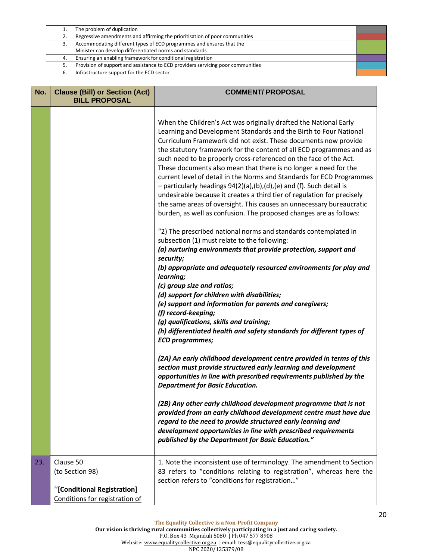|    | The problem of duplication                                                      |  |
|----|---------------------------------------------------------------------------------|--|
|    | Regressive amendments and affirming the prioritisation of poor communities      |  |
| з. | Accommodating different types of ECD programmes and ensures that the            |  |
|    | Minister can develop differentiated norms and standards                         |  |
| 4. | Ensuring an enabling framework for conditional registration                     |  |
|    | Provision of support and assistance to ECD providers servicing poor communities |  |
| 6. | Infrastructure support for the ECD sector                                       |  |
|    |                                                                                 |  |

| No. | <b>Clause (Bill) or Section (Act)</b><br><b>BILL PROPOSAL</b>                                 | <b>COMMENT/ PROPOSAL</b>                                                                                                                                                                                                                                                                                                                                                                                                                                                                                                                                                                                                                                                                                                                                                                             |
|-----|-----------------------------------------------------------------------------------------------|------------------------------------------------------------------------------------------------------------------------------------------------------------------------------------------------------------------------------------------------------------------------------------------------------------------------------------------------------------------------------------------------------------------------------------------------------------------------------------------------------------------------------------------------------------------------------------------------------------------------------------------------------------------------------------------------------------------------------------------------------------------------------------------------------|
|     |                                                                                               | When the Children's Act was originally drafted the National Early<br>Learning and Development Standards and the Birth to Four National<br>Curriculum Framework did not exist. These documents now provide<br>the statutory framework for the content of all ECD programmes and as<br>such need to be properly cross-referenced on the face of the Act.<br>These documents also mean that there is no longer a need for the<br>current level of detail in the Norms and Standards for ECD Programmes<br>- particularly headings 94(2)(a),(b),(d),(e) and (f). Such detail is<br>undesirable because it creates a third tier of regulation for precisely<br>the same areas of oversight. This causes an unnecessary bureaucratic<br>burden, as well as confusion. The proposed changes are as follows: |
|     |                                                                                               | "2) The prescribed national norms and standards contemplated in<br>subsection (1) must relate to the following:<br>(a) nurturing environments that provide protection, support and<br>security;<br>(b) appropriate and adequately resourced environments for play and                                                                                                                                                                                                                                                                                                                                                                                                                                                                                                                                |
|     |                                                                                               | learning;<br>(c) group size and ratios;<br>(d) support for children with disabilities;<br>(e) support and information for parents and caregivers;<br>(f) record-keeping;<br>(g) qualifications, skills and training;<br>(h) differentiated health and safety standards for different types of<br><b>ECD programmes;</b>                                                                                                                                                                                                                                                                                                                                                                                                                                                                              |
|     |                                                                                               | (2A) An early childhood development centre provided in terms of this<br>section must provide structured early learning and development<br>opportunities in line with prescribed requirements published by the<br><b>Department for Basic Education.</b>                                                                                                                                                                                                                                                                                                                                                                                                                                                                                                                                              |
|     |                                                                                               | (2B) Any other early childhood development programme that is not<br>provided from an early childhood development centre must have due<br>regard to the need to provide structured early learning and<br>development opportunities in line with prescribed requirements<br>published by the Department for Basic Education."                                                                                                                                                                                                                                                                                                                                                                                                                                                                          |
| 23. | Clause 50<br>(to Section 98)<br>"[Conditional Registration]<br>Conditions for registration of | 1. Note the inconsistent use of terminology. The amendment to Section<br>83 refers to "conditions relating to registration", whereas here the<br>section refers to "conditions for registration"                                                                                                                                                                                                                                                                                                                                                                                                                                                                                                                                                                                                     |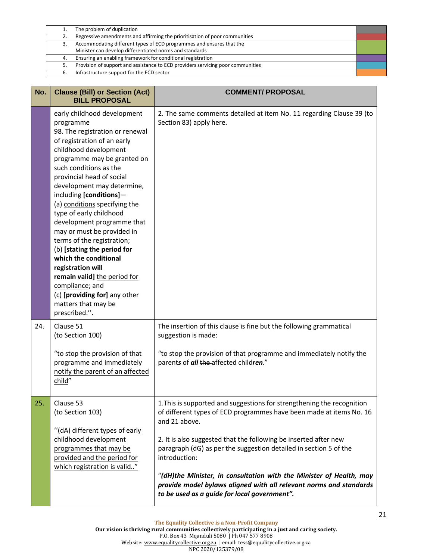|    | The problem of duplication                                                      |  |
|----|---------------------------------------------------------------------------------|--|
| 2. | Regressive amendments and affirming the prioritisation of poor communities      |  |
|    | Accommodating different types of ECD programmes and ensures that the            |  |
|    | Minister can develop differentiated norms and standards                         |  |
| 4. | Ensuring an enabling framework for conditional registration                     |  |
|    | Provision of support and assistance to ECD providers servicing poor communities |  |
| 6. | Infrastructure support for the ECD sector                                       |  |

| No. | <b>Clause (Bill) or Section (Act)</b><br><b>BILL PROPOSAL</b>                                                                                                                                                                                                                                                                                                                                                                                                                                                                                                                                                                                     | <b>COMMENT/ PROPOSAL</b>                                                                                                                                                                                                                                                                                                                                                                                                                                                                                              |
|-----|---------------------------------------------------------------------------------------------------------------------------------------------------------------------------------------------------------------------------------------------------------------------------------------------------------------------------------------------------------------------------------------------------------------------------------------------------------------------------------------------------------------------------------------------------------------------------------------------------------------------------------------------------|-----------------------------------------------------------------------------------------------------------------------------------------------------------------------------------------------------------------------------------------------------------------------------------------------------------------------------------------------------------------------------------------------------------------------------------------------------------------------------------------------------------------------|
|     | early childhood development<br>programme<br>98. The registration or renewal<br>of registration of an early<br>childhood development<br>programme may be granted on<br>such conditions as the<br>provincial head of social<br>development may determine,<br>including [conditions]-<br>(a) conditions specifying the<br>type of early childhood<br>development programme that<br>may or must be provided in<br>terms of the registration;<br>(b) [stating the period for<br>which the conditional<br>registration will<br>remain valid] the period for<br>compliance; and<br>(c) [providing for] any other<br>matters that may be<br>prescribed.". | 2. The same comments detailed at item No. 11 regarding Clause 39 (to<br>Section 83) apply here.                                                                                                                                                                                                                                                                                                                                                                                                                       |
| 24. | Clause 51<br>(to Section 100)<br>"to stop the provision of that<br>programme and immediately<br>notify the parent of an affected<br>child"                                                                                                                                                                                                                                                                                                                                                                                                                                                                                                        | The insertion of this clause is fine but the following grammatical<br>suggestion is made:<br>"to stop the provision of that programme and immediately notify the<br>parents of all the-affected children."                                                                                                                                                                                                                                                                                                            |
| 25. | Clause 53<br>(to Section 103)<br>"(dA) different types of early<br>childhood development<br>programmes that may be<br>provided and the period for<br>which registration is valid"                                                                                                                                                                                                                                                                                                                                                                                                                                                                 | 1. This is supported and suggestions for strengthening the recognition<br>of different types of ECD programmes have been made at items No. 16<br>and 21 above.<br>2. It is also suggested that the following be inserted after new<br>paragraph (dG) as per the suggestion detailed in section 5 of the<br>introduction:<br>"(dH)the Minister, in consultation with the Minister of Health, may<br>provide model bylaws aligned with all relevant norms and standards<br>to be used as a guide for local government". |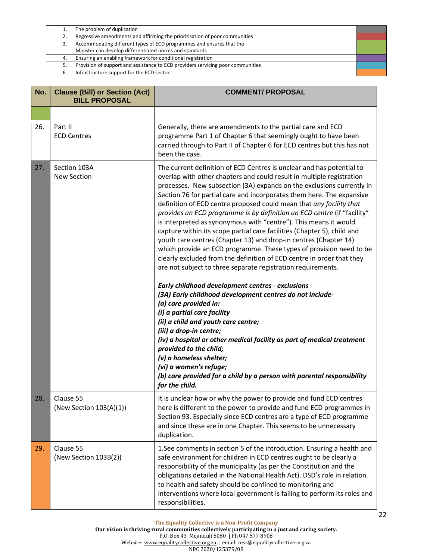|    | The problem of duplication                                                      |  |
|----|---------------------------------------------------------------------------------|--|
| 2. | Regressive amendments and affirming the prioritisation of poor communities      |  |
| 3. | Accommodating different types of ECD programmes and ensures that the            |  |
|    | Minister can develop differentiated norms and standards                         |  |
| 4. | Ensuring an enabling framework for conditional registration                     |  |
| 5. | Provision of support and assistance to ECD providers servicing poor communities |  |
| 6. | Infrastructure support for the ECD sector                                       |  |
|    |                                                                                 |  |

| No. | <b>Clause (Bill) or Section (Act)</b><br><b>BILL PROPOSAL</b> | <b>COMMENT/ PROPOSAL</b>                                                                                                                                                                                                                                                                                                                                                                                                                                                                                                                                                                                                                                                                                                                                                                                                                                                                                                                                                                                                                                                                                                                                                                                                                                                                                                                                                             |
|-----|---------------------------------------------------------------|--------------------------------------------------------------------------------------------------------------------------------------------------------------------------------------------------------------------------------------------------------------------------------------------------------------------------------------------------------------------------------------------------------------------------------------------------------------------------------------------------------------------------------------------------------------------------------------------------------------------------------------------------------------------------------------------------------------------------------------------------------------------------------------------------------------------------------------------------------------------------------------------------------------------------------------------------------------------------------------------------------------------------------------------------------------------------------------------------------------------------------------------------------------------------------------------------------------------------------------------------------------------------------------------------------------------------------------------------------------------------------------|
|     |                                                               |                                                                                                                                                                                                                                                                                                                                                                                                                                                                                                                                                                                                                                                                                                                                                                                                                                                                                                                                                                                                                                                                                                                                                                                                                                                                                                                                                                                      |
| 26. | Part II<br><b>ECD Centres</b>                                 | Generally, there are amendments to the partial care and ECD<br>programme Part 1 of Chapter 6 that seemingly ought to have been<br>carried through to Part II of Chapter 6 for ECD centres but this has not<br>been the case.                                                                                                                                                                                                                                                                                                                                                                                                                                                                                                                                                                                                                                                                                                                                                                                                                                                                                                                                                                                                                                                                                                                                                         |
| 27. | Section 103A<br><b>New Section</b>                            | The current definition of ECD Centres is unclear and has potential to<br>overlap with other chapters and could result in multiple registration<br>processes. New subsection (3A) expands on the exclusions currently in<br>Section 76 for partial care and incorporates them here. The expansive<br>definition of ECD centre proposed could mean that any facility that<br>provides an ECD programme is by definition an ECD centre (if "facility"<br>is interpreted as synonymous with "centre"). This means it would<br>capture within its scope partial care facilities (Chapter 5), child and<br>youth care centres (Chapter 13) and drop-in centres (Chapter 14)<br>which provide an ECD programme. These types of provision need to be<br>clearly excluded from the definition of ECD centre in order that they<br>are not subject to three separate registration requirements.<br>Early childhood development centres - exclusions<br>(3A) Early childhood development centres do not include-<br>(a) care provided in:<br>(i) a partial care facility<br>(ii) a child and youth care centre;<br>(iii) a drop-in centre;<br>(iv) a hospital or other medical facility as part of medical treatment<br>provided to the child;<br>(v) a homeless shelter;<br>(vi) a women's refuge;<br>(b) care provided for a child by a person with parental responsibility<br>for the child. |
| 28. | Clause 55<br>(New Section 103(A)(1))                          | It is unclear how or why the power to provide and fund ECD centres<br>here is different to the power to provide and fund ECD programmes in<br>Section 93. Especially since ECD centres are a type of ECD programme<br>and since these are in one Chapter. This seems to be unnecessary<br>duplication.                                                                                                                                                                                                                                                                                                                                                                                                                                                                                                                                                                                                                                                                                                                                                                                                                                                                                                                                                                                                                                                                               |
| 29. | Clause 55<br>(New Section 103B(2))                            | 1. See comments in section 5 of the introduction. Ensuring a health and<br>safe environment for children in ECD centres ought to be clearly a<br>responsibility of the municipality (as per the Constitution and the<br>obligations detailed in the National Health Act). DSD's role in relation<br>to health and safety should be confined to monitoring and<br>interventions where local government is failing to perform its roles and<br>responsibilities.                                                                                                                                                                                                                                                                                                                                                                                                                                                                                                                                                                                                                                                                                                                                                                                                                                                                                                                       |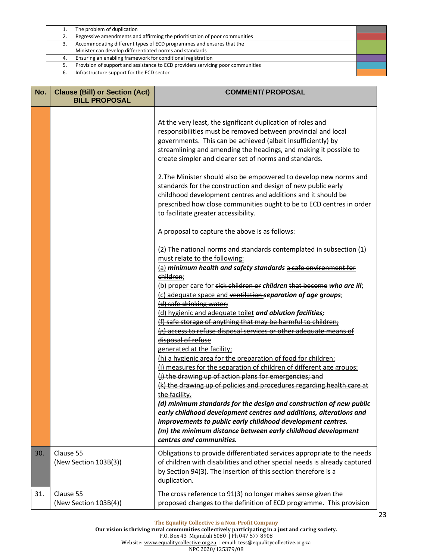|    | The problem of duplication                                                      |  |
|----|---------------------------------------------------------------------------------|--|
| 2. | Regressive amendments and affirming the prioritisation of poor communities      |  |
|    | Accommodating different types of ECD programmes and ensures that the            |  |
|    | Minister can develop differentiated norms and standards                         |  |
| 4. | Ensuring an enabling framework for conditional registration                     |  |
|    | Provision of support and assistance to ECD providers servicing poor communities |  |
|    | Infrastructure support for the ECD sector                                       |  |
|    |                                                                                 |  |

| No. | <b>Clause (Bill) or Section (Act)</b><br><b>BILL PROPOSAL</b> | <b>COMMENT/ PROPOSAL</b>                                                                                                                                                                                                                                                                                                                                                                                                                                                                                                                                                                                                                                                                                                                                                                                                                                                                                                                                                                                                                                                                                                                                                                                                                                                                                                                                                                                                                                                                                                                                                                                                                                                                                                                                                                                                           |
|-----|---------------------------------------------------------------|------------------------------------------------------------------------------------------------------------------------------------------------------------------------------------------------------------------------------------------------------------------------------------------------------------------------------------------------------------------------------------------------------------------------------------------------------------------------------------------------------------------------------------------------------------------------------------------------------------------------------------------------------------------------------------------------------------------------------------------------------------------------------------------------------------------------------------------------------------------------------------------------------------------------------------------------------------------------------------------------------------------------------------------------------------------------------------------------------------------------------------------------------------------------------------------------------------------------------------------------------------------------------------------------------------------------------------------------------------------------------------------------------------------------------------------------------------------------------------------------------------------------------------------------------------------------------------------------------------------------------------------------------------------------------------------------------------------------------------------------------------------------------------------------------------------------------------|
|     |                                                               | At the very least, the significant duplication of roles and<br>responsibilities must be removed between provincial and local<br>governments. This can be achieved (albeit insufficiently) by<br>streamlining and amending the headings, and making it possible to<br>create simpler and clearer set of norms and standards.<br>2. The Minister should also be empowered to develop new norms and<br>standards for the construction and design of new public early<br>childhood development centres and additions and it should be<br>prescribed how close communities ought to be to ECD centres in order<br>to facilitate greater accessibility.<br>A proposal to capture the above is as follows:<br>(2) The national norms and standards contemplated in subsection (1)<br>must relate to the following:<br>(a) minimum health and safety standards a safe environment for<br>children;<br>(b) proper care for sick children or children that become who are ill;<br>(c) adequate space and ventilation separation of age groups;<br>(d) safe drinking water;<br>(d) hygienic and adequate toilet and ablution facilities;<br>(f) safe storage of anything that may be harmful to children;<br>(g) access to refuse disposal services or other adequate means of<br>disposal of refuse<br>generated at the facility;<br>(h) a hygienic area for the preparation of food for children;<br>(i) measures for the separation of children of different age groups;<br>(j) the drawing up of action plans for emergencies; and<br>(k) the drawing up of policies and procedures regarding health care at<br>the facility.<br>(d) minimum standards for the design and construction of new public<br>early childhood development centres and additions, alterations and<br>improvements to public early childhood development centres. |
|     |                                                               | (m) the minimum distance between early childhood development<br>centres and communities.                                                                                                                                                                                                                                                                                                                                                                                                                                                                                                                                                                                                                                                                                                                                                                                                                                                                                                                                                                                                                                                                                                                                                                                                                                                                                                                                                                                                                                                                                                                                                                                                                                                                                                                                           |
| 30. | Clause 55<br>(New Section 103B(3))                            | Obligations to provide differentiated services appropriate to the needs<br>of children with disabilities and other special needs is already captured<br>by Section 94(3). The insertion of this section therefore is a<br>duplication.                                                                                                                                                                                                                                                                                                                                                                                                                                                                                                                                                                                                                                                                                                                                                                                                                                                                                                                                                                                                                                                                                                                                                                                                                                                                                                                                                                                                                                                                                                                                                                                             |
| 31. | Clause 55<br>(New Section 103B(4))                            | The cross reference to 91(3) no longer makes sense given the<br>proposed changes to the definition of ECD programme. This provision                                                                                                                                                                                                                                                                                                                                                                                                                                                                                                                                                                                                                                                                                                                                                                                                                                                                                                                                                                                                                                                                                                                                                                                                                                                                                                                                                                                                                                                                                                                                                                                                                                                                                                |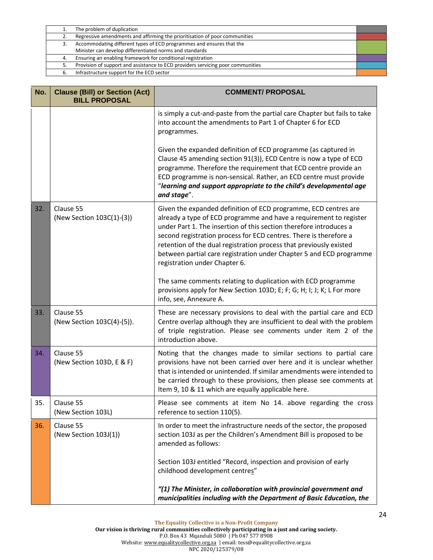|    | The problem of duplication                                                      |  |
|----|---------------------------------------------------------------------------------|--|
| 2. | Regressive amendments and affirming the prioritisation of poor communities      |  |
| 3. | Accommodating different types of ECD programmes and ensures that the            |  |
|    | Minister can develop differentiated norms and standards                         |  |
| 4. | Ensuring an enabling framework for conditional registration                     |  |
| 5. | Provision of support and assistance to ECD providers servicing poor communities |  |
| 6. | Infrastructure support for the ECD sector                                       |  |
|    |                                                                                 |  |

| No. | <b>Clause (Bill) or Section (Act)</b><br><b>BILL PROPOSAL</b> | <b>COMMENT/ PROPOSAL</b>                                                                                                                                                                                                                                                                                                                                                                                                                                       |
|-----|---------------------------------------------------------------|----------------------------------------------------------------------------------------------------------------------------------------------------------------------------------------------------------------------------------------------------------------------------------------------------------------------------------------------------------------------------------------------------------------------------------------------------------------|
|     |                                                               | is simply a cut-and-paste from the partial care Chapter but fails to take<br>into account the amendments to Part 1 of Chapter 6 for ECD<br>programmes.                                                                                                                                                                                                                                                                                                         |
|     |                                                               | Given the expanded definition of ECD programme (as captured in<br>Clause 45 amending section 91(3)), ECD Centre is now a type of ECD<br>programme. Therefore the requirement that ECD centre provide an<br>ECD programme is non-sensical. Rather, an ECD centre must provide<br>"learning and support appropriate to the child's developmental age<br>and stage".                                                                                              |
| 32. | Clause 55<br>(New Section 103C(1)-(3))                        | Given the expanded definition of ECD programme, ECD centres are<br>already a type of ECD programme and have a requirement to register<br>under Part 1. The insertion of this section therefore introduces a<br>second registration process for ECD centres. There is therefore a<br>retention of the dual registration process that previously existed<br>between partial care registration under Chapter 5 and ECD programme<br>registration under Chapter 6. |
|     |                                                               | The same comments relating to duplication with ECD programme<br>provisions apply for New Section 103D; E; F; G; H; I; J; K; L For more<br>info, see, Annexure A.                                                                                                                                                                                                                                                                                               |
| 33. | Clause 55<br>(New Section 103C(4)-(5)).                       | These are necessary provisions to deal with the partial care and ECD<br>Centre overlap although they are insufficient to deal with the problem<br>of triple registration. Please see comments under item 2 of the<br>introduction above.                                                                                                                                                                                                                       |
| 34. | Clause 55<br>(New Section 103D, E & F)                        | Noting that the changes made to similar sections to partial care<br>provisions have not been carried over here and it is unclear whether<br>that is intended or unintended. If similar amendments were intended to<br>be carried through to these provisions, then please see comments at<br>Item 9, 10 & 11 which are equally applicable here.                                                                                                                |
| 35. | Clause 55<br>(New Section 103L)                               | Please see comments at item No 14. above regarding the cross<br>reference to section 110(5).                                                                                                                                                                                                                                                                                                                                                                   |
| 36. | Clause 55<br>(New Section 103J(1))                            | In order to meet the infrastructure needs of the sector, the proposed<br>section 103J as per the Children's Amendment Bill is proposed to be<br>amended as follows:                                                                                                                                                                                                                                                                                            |
|     |                                                               | Section 103J entitled "Record, inspection and provision of early<br>childhood development centres"                                                                                                                                                                                                                                                                                                                                                             |
|     |                                                               | "(1) The Minister, in collaboration with provincial government and<br>municipalities including with the Department of Basic Education, the                                                                                                                                                                                                                                                                                                                     |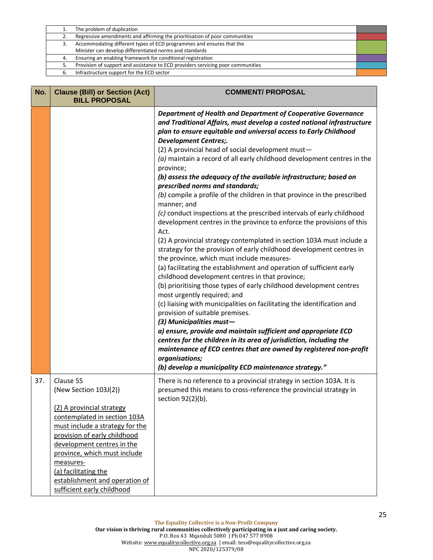|    | The problem of duplication                                                      |  |
|----|---------------------------------------------------------------------------------|--|
|    | Regressive amendments and affirming the prioritisation of poor communities      |  |
| з. | Accommodating different types of ECD programmes and ensures that the            |  |
|    | Minister can develop differentiated norms and standards                         |  |
| 4. | Ensuring an enabling framework for conditional registration                     |  |
|    | Provision of support and assistance to ECD providers servicing poor communities |  |
|    | Infrastructure support for the ECD sector                                       |  |
|    |                                                                                 |  |

| No. | <b>Clause (Bill) or Section (Act)</b><br><b>BILL PROPOSAL</b>                                                                                                                                                                                                                                                                         | <b>COMMENT/ PROPOSAL</b>                                                                                                                                                                                                                                                                                                                                                                                                                                                                                                                                                                                                                                                                                                                                                                                                                                                                                                                                                                                                                                                                                                                                                                                                                                                                                                                                                                                                                                                                                                                                                                                                   |
|-----|---------------------------------------------------------------------------------------------------------------------------------------------------------------------------------------------------------------------------------------------------------------------------------------------------------------------------------------|----------------------------------------------------------------------------------------------------------------------------------------------------------------------------------------------------------------------------------------------------------------------------------------------------------------------------------------------------------------------------------------------------------------------------------------------------------------------------------------------------------------------------------------------------------------------------------------------------------------------------------------------------------------------------------------------------------------------------------------------------------------------------------------------------------------------------------------------------------------------------------------------------------------------------------------------------------------------------------------------------------------------------------------------------------------------------------------------------------------------------------------------------------------------------------------------------------------------------------------------------------------------------------------------------------------------------------------------------------------------------------------------------------------------------------------------------------------------------------------------------------------------------------------------------------------------------------------------------------------------------|
|     |                                                                                                                                                                                                                                                                                                                                       | Department of Health and Department of Cooperative Governance<br>and Traditional Affairs, must develop a costed national infrastructure<br>plan to ensure equitable and universal access to Early Childhood<br><b>Development Centres;.</b><br>(2) A provincial head of social development must-<br>(a) maintain a record of all early childhood development centres in the<br>province;<br>(b) assess the adequacy of the available infrastructure; based on<br>prescribed norms and standards;<br>(b) compile a profile of the children in that province in the prescribed<br>manner; and<br>(c) conduct inspections at the prescribed intervals of early childhood<br>development centres in the province to enforce the provisions of this<br>Act.<br>(2) A provincial strategy contemplated in section 103A must include a<br>strategy for the provision of early childhood development centres in<br>the province, which must include measures-<br>(a) facilitating the establishment and operation of sufficient early<br>childhood development centres in that province;<br>(b) prioritising those types of early childhood development centres<br>most urgently required; and<br>(c) liaising with municipalities on facilitating the identification and<br>provision of suitable premises.<br>(3) Municipalities must-<br>a) ensure, provide and maintain sufficient and appropriate ECD<br>centres for the children in its area of jurisdiction, including the<br>maintenance of ECD centres that are owned by registered non-profit<br>organisations;<br>(b) develop a municipality ECD maintenance strategy." |
| 37. | Clause 55<br>(New Section 103J(2))<br>(2) A provincial strategy<br>contemplated in section 103A<br>must include a strategy for the<br>provision of early childhood<br>development centres in the<br>province, which must include<br>measures-<br>(a) facilitating the<br>establishment and operation of<br>sufficient early childhood | There is no reference to a provincial strategy in section 103A. It is<br>presumed this means to cross-reference the provincial strategy in<br>section 92(2)(b).                                                                                                                                                                                                                                                                                                                                                                                                                                                                                                                                                                                                                                                                                                                                                                                                                                                                                                                                                                                                                                                                                                                                                                                                                                                                                                                                                                                                                                                            |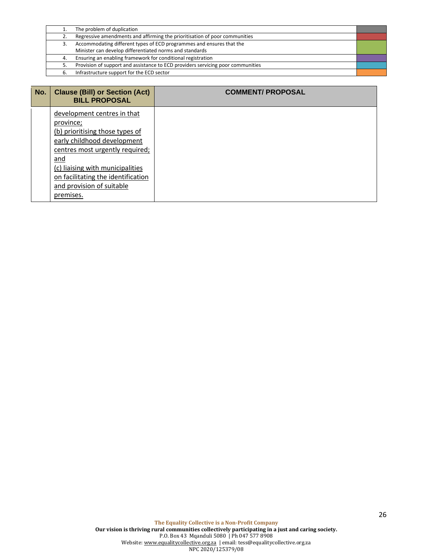|    | The problem of duplication                                                      |  |
|----|---------------------------------------------------------------------------------|--|
|    | Regressive amendments and affirming the prioritisation of poor communities      |  |
| 3. | Accommodating different types of ECD programmes and ensures that the            |  |
|    | Minister can develop differentiated norms and standards                         |  |
| 4. | Ensuring an enabling framework for conditional registration                     |  |
| 5. | Provision of support and assistance to ECD providers servicing poor communities |  |
| 6. | Infrastructure support for the ECD sector                                       |  |
|    |                                                                                 |  |

| No. | <b>Clause (Bill) or Section (Act)</b><br><b>BILL PROPOSAL</b>                                                                                                                                                                                                            | <b>COMMENT/PROPOSAL</b> |
|-----|--------------------------------------------------------------------------------------------------------------------------------------------------------------------------------------------------------------------------------------------------------------------------|-------------------------|
|     | development centres in that<br>province;<br>(b) prioritising those types of<br>early childhood development<br>centres most urgently required;<br>and<br>(c) liaising with municipalities<br>on facilitating the identification<br>and provision of suitable<br>premises. |                         |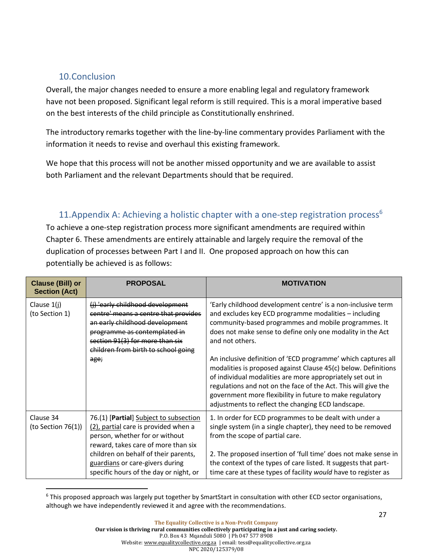### <span id="page-28-0"></span>10.Conclusion

Overall, the major changes needed to ensure a more enabling legal and regulatory framework have not been proposed. Significant legal reform is still required. This is a moral imperative based on the best interests of the child principle as Constitutionally enshrined.

The introductory remarks together with the line-by-line commentary provides Parliament with the information it needs to revise and overhaul this existing framework.

We hope that this process will not be another missed opportunity and we are available to assist both Parliament and the relevant Departments should that be required.

### <span id="page-28-1"></span>11. Appendix A: Achieving a holistic chapter with a one-step registration process<sup>6</sup>

To achieve a one-step registration process more significant amendments are required within Chapter 6. These amendments are entirely attainable and largely require the removal of the duplication of processes between Part I and II. One proposed approach on how this can potentially be achieved is as follows:

| <b>Clause (Bill) or</b><br><b>Section (Act)</b> | <b>PROPOSAL</b>                                                                                                                                                                                                                                                              | <b>MOTIVATION</b>                                                                                                                                                                                                                                                                                                                                                                                                                                                                                                                                                                                                                                   |
|-------------------------------------------------|------------------------------------------------------------------------------------------------------------------------------------------------------------------------------------------------------------------------------------------------------------------------------|-----------------------------------------------------------------------------------------------------------------------------------------------------------------------------------------------------------------------------------------------------------------------------------------------------------------------------------------------------------------------------------------------------------------------------------------------------------------------------------------------------------------------------------------------------------------------------------------------------------------------------------------------------|
| Clause $1(i)$<br>(to Section 1)                 | (i) 'early childhood development<br>centre' means a centre that provides<br>an early childhood development<br>programme as contemplated in<br>section 91(3) for more than six<br>children from birth to school going<br>age;                                                 | 'Early childhood development centre' is a non-inclusive term<br>and excludes key ECD programme modalities - including<br>community-based programmes and mobile programmes. It<br>does not make sense to define only one modality in the Act<br>and not others.<br>An inclusive definition of 'ECD programme' which captures all<br>modalities is proposed against Clause 45(c) below. Definitions<br>of individual modalities are more appropriately set out in<br>regulations and not on the face of the Act. This will give the<br>government more flexibility in future to make regulatory<br>adjustments to reflect the changing ECD landscape. |
| Clause 34<br>(to Section $76(1)$ )              | 76.(1) [Partial] Subject to subsection<br>(2), partial care is provided when a<br>person, whether for or without<br>reward, takes care of more than six<br>children on behalf of their parents,<br>guardians or care-givers during<br>specific hours of the day or night, or | 1. In order for ECD programmes to be dealt with under a<br>single system (in a single chapter), they need to be removed<br>from the scope of partial care.<br>2. The proposed insertion of 'full time' does not make sense in<br>the context of the types of care listed. It suggests that part-<br>time care at these types of facility would have to register as                                                                                                                                                                                                                                                                                  |

<sup>&</sup>lt;sup>6</sup> This proposed approach was largely put together by SmartStart in consultation with other ECD sector organisations, although we have independently reviewed it and agree with the recommendations.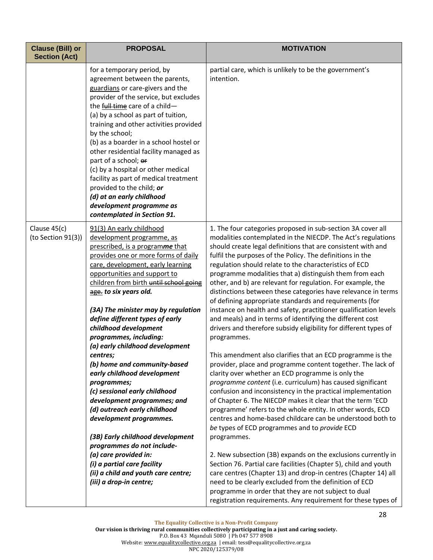| <b>Clause (Bill) or</b><br><b>Section (Act)</b> | <b>PROPOSAL</b>                                                                                                                                                                                                                                                                                                                                                                                                                                                                                                                                                                                                                                                                                   | <b>MOTIVATION</b>                                                                                                                                                                                                                                                                                                                                                                                                                                                                                                                                                                                                                                                                                                                                                                                                                                                                                                                                                                                                                                                                                                                                                                                                                                                                                                                                                     |
|-------------------------------------------------|---------------------------------------------------------------------------------------------------------------------------------------------------------------------------------------------------------------------------------------------------------------------------------------------------------------------------------------------------------------------------------------------------------------------------------------------------------------------------------------------------------------------------------------------------------------------------------------------------------------------------------------------------------------------------------------------------|-----------------------------------------------------------------------------------------------------------------------------------------------------------------------------------------------------------------------------------------------------------------------------------------------------------------------------------------------------------------------------------------------------------------------------------------------------------------------------------------------------------------------------------------------------------------------------------------------------------------------------------------------------------------------------------------------------------------------------------------------------------------------------------------------------------------------------------------------------------------------------------------------------------------------------------------------------------------------------------------------------------------------------------------------------------------------------------------------------------------------------------------------------------------------------------------------------------------------------------------------------------------------------------------------------------------------------------------------------------------------|
|                                                 | for a temporary period, by<br>agreement between the parents,<br>guardians or care-givers and the<br>provider of the service, but excludes<br>the full time care of a child-<br>(a) by a school as part of tuition,<br>training and other activities provided<br>by the school;<br>(b) as a boarder in a school hostel or<br>other residential facility managed as<br>part of a school; or<br>(c) by a hospital or other medical<br>facility as part of medical treatment<br>provided to the child; or<br>(d) at an early childhood<br>development programme as<br>contemplated in Section 91.                                                                                                     | partial care, which is unlikely to be the government's<br>intention.                                                                                                                                                                                                                                                                                                                                                                                                                                                                                                                                                                                                                                                                                                                                                                                                                                                                                                                                                                                                                                                                                                                                                                                                                                                                                                  |
| Clause 45(c)<br>(to Section 91(3))              | 91(3) An early childhood<br>development programme, as<br>prescribed, is a programme that<br>provides one or more forms of daily<br>care, development, early learning<br>opportunities and support to<br>children from birth until school going<br>age. to six years old.<br>(3A) The minister may by regulation<br>define different types of early<br>childhood development<br>programmes, including:<br>(a) early childhood development<br>centres;<br>(b) home and community-based<br>early childhood development<br>programmes;<br>(c) sessional early childhood<br>development programmes; and<br>(d) outreach early childhood<br>development programmes.<br>(3B) Early childhood development | 1. The four categories proposed in sub-section 3A cover all<br>modalities contemplated in the NIECDP. The Act's regulations<br>should create legal definitions that are consistent with and<br>fulfil the purposes of the Policy. The definitions in the<br>regulation should relate to the characteristics of ECD<br>programme modalities that a) distinguish them from each<br>other, and b) are relevant for regulation. For example, the<br>distinctions between these categories have relevance in terms<br>of defining appropriate standards and requirements (for<br>instance on health and safety, practitioner qualification levels<br>and meals) and in terms of identifying the different cost<br>drivers and therefore subsidy eligibility for different types of<br>programmes.<br>This amendment also clarifies that an ECD programme is the<br>provider, place and programme content together. The lack of<br>clarity over whether an ECD programme is only the<br>programme content (i.e. curriculum) has caused significant<br>confusion and inconsistency in the practical implementation<br>of Chapter 6. The NIECDP makes it clear that the term 'ECD<br>programme' refers to the whole entity. In other words, ECD<br>centres and home-based childcare can be understood both to<br>be types of ECD programmes and to provide ECD<br>programmes. |
|                                                 | programmes do not include-<br>(a) care provided in:<br>(i) a partial care facility<br>(ii) a child and youth care centre;<br>(iii) a drop-in centre;                                                                                                                                                                                                                                                                                                                                                                                                                                                                                                                                              | 2. New subsection (3B) expands on the exclusions currently in<br>Section 76. Partial care facilities (Chapter 5), child and youth<br>care centres (Chapter 13) and drop-in centres (Chapter 14) all<br>need to be clearly excluded from the definition of ECD<br>programme in order that they are not subject to dual<br>registration requirements. Any requirement for these types of                                                                                                                                                                                                                                                                                                                                                                                                                                                                                                                                                                                                                                                                                                                                                                                                                                                                                                                                                                                |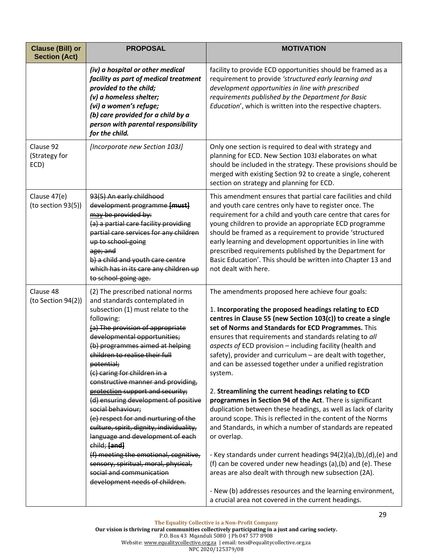| <b>Clause (Bill) or</b><br><b>Section (Act)</b> | <b>PROPOSAL</b>                                                                                                                                                                                                                                                                                                                                                                                                                                                                                                                                                                                                                                                                                                                            | <b>MOTIVATION</b>                                                                                                                                                                                                                                                                                                                                                                                                                                                                                                                                                                                                                                                                                                                                                                                                                                                                                                                                                                                                                                                                                                                                       |
|-------------------------------------------------|--------------------------------------------------------------------------------------------------------------------------------------------------------------------------------------------------------------------------------------------------------------------------------------------------------------------------------------------------------------------------------------------------------------------------------------------------------------------------------------------------------------------------------------------------------------------------------------------------------------------------------------------------------------------------------------------------------------------------------------------|---------------------------------------------------------------------------------------------------------------------------------------------------------------------------------------------------------------------------------------------------------------------------------------------------------------------------------------------------------------------------------------------------------------------------------------------------------------------------------------------------------------------------------------------------------------------------------------------------------------------------------------------------------------------------------------------------------------------------------------------------------------------------------------------------------------------------------------------------------------------------------------------------------------------------------------------------------------------------------------------------------------------------------------------------------------------------------------------------------------------------------------------------------|
|                                                 | (iv) a hospital or other medical<br>facility as part of medical treatment<br>provided to the child;<br>(v) a homeless shelter;<br>(vi) a women's refuge;<br>(b) care provided for a child by a<br>person with parental responsibility<br>for the child.                                                                                                                                                                                                                                                                                                                                                                                                                                                                                    | facility to provide ECD opportunities should be framed as a<br>requirement to provide 'structured early learning and<br>development opportunities in line with prescribed<br>requirements published by the Department for Basic<br>Education', which is written into the respective chapters.                                                                                                                                                                                                                                                                                                                                                                                                                                                                                                                                                                                                                                                                                                                                                                                                                                                           |
| Clause 92<br>(Strategy for<br>ECD)              | [Incorporate new Section 103J]                                                                                                                                                                                                                                                                                                                                                                                                                                                                                                                                                                                                                                                                                                             | Only one section is required to deal with strategy and<br>planning for ECD. New Section 103J elaborates on what<br>should be included in the strategy. These provisions should be<br>merged with existing Section 92 to create a single, coherent<br>section on strategy and planning for ECD.                                                                                                                                                                                                                                                                                                                                                                                                                                                                                                                                                                                                                                                                                                                                                                                                                                                          |
| Clause 47(e)<br>(to section 93(5))              | 93(5) An early childhood<br>development programme [must]<br>may be provided by:<br>(a) a partial care facility providing<br>partial care services for any children<br>up to school-going<br>age; and<br>b) a child and youth care centre<br>which has in its care any children up<br>to school-going age.                                                                                                                                                                                                                                                                                                                                                                                                                                  | This amendment ensures that partial care facilities and child<br>and youth care centres only have to register once. The<br>requirement for a child and youth care centre that cares for<br>young children to provide an appropriate ECD programme<br>should be framed as a requirement to provide 'structured<br>early learning and development opportunities in line with<br>prescribed requirements published by the Department for<br>Basic Education'. This should be written into Chapter 13 and<br>not dealt with here.                                                                                                                                                                                                                                                                                                                                                                                                                                                                                                                                                                                                                           |
| Clause 48<br>(to Section 94(2))                 | (2) The prescribed national norms<br>and standards contemplated in<br>subsection (1) must relate to the<br>following:<br>(a) The provision of appropriate<br>developmental opportunities;<br>(b) programmes aimed at helping<br>children to realise their full<br>potential;<br>(c) caring for children in a<br>constructive manner and providing,<br>protection support and security;<br>(d) ensuring development of positive<br>social behaviour;<br>(e) respect for and nurturing of the<br>culture, spirit, dignity, individuality,<br>language and development of each<br>child; [and]<br>(f) meeting the emotional, cognitive,<br>sensory, spiritual, moral, physical,<br>social and communication<br>development needs of children. | The amendments proposed here achieve four goals:<br>1. Incorporating the proposed headings relating to ECD<br>centres in Clause 55 (new Section 103(c)) to create a single<br>set of Norms and Standards for ECD Programmes. This<br>ensures that requirements and standards relating to all<br>aspects of ECD provision - including facility (health and<br>safety), provider and curriculum - are dealt with together,<br>and can be assessed together under a unified registration<br>system.<br>2. Streamlining the current headings relating to ECD<br>programmes in Section 94 of the Act. There is significant<br>duplication between these headings, as well as lack of clarity<br>around scope. This is reflected in the content of the Norms<br>and Standards, in which a number of standards are repeated<br>or overlap.<br>- Key standards under current headings 94(2)(a),(b),(d),(e) and<br>(f) can be covered under new headings (a), (b) and (e). These<br>areas are also dealt with through new subsection (2A).<br>- New (b) addresses resources and the learning environment,<br>a crucial area not covered in the current headings. |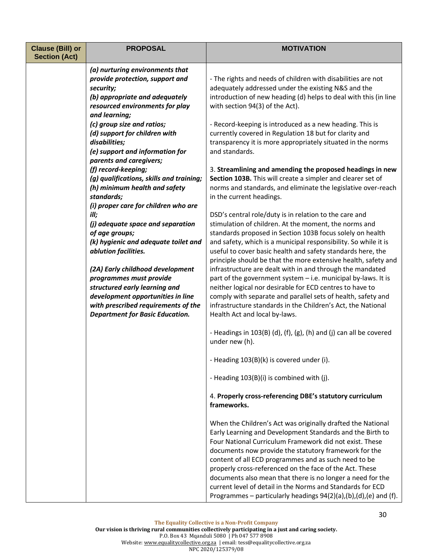| <b>Clause (Bill) or</b><br><b>Section (Act)</b> | <b>PROPOSAL</b>                                                                                                                                                                                                    | <b>MOTIVATION</b>                                                                                                                                                                                                                                                                                                                                                                                                                                                                                                                                                     |
|-------------------------------------------------|--------------------------------------------------------------------------------------------------------------------------------------------------------------------------------------------------------------------|-----------------------------------------------------------------------------------------------------------------------------------------------------------------------------------------------------------------------------------------------------------------------------------------------------------------------------------------------------------------------------------------------------------------------------------------------------------------------------------------------------------------------------------------------------------------------|
|                                                 | (a) nurturing environments that<br>provide protection, support and<br>security;<br>(b) appropriate and adequately<br>resourced environments for play<br>and learning;                                              | - The rights and needs of children with disabilities are not<br>adequately addressed under the existing N&S and the<br>introduction of new heading (d) helps to deal with this (in line<br>with section 94(3) of the Act).                                                                                                                                                                                                                                                                                                                                            |
|                                                 | (c) group size and ratios;<br>(d) support for children with<br>disabilities;<br>(e) support and information for<br>parents and caregivers;                                                                         | - Record-keeping is introduced as a new heading. This is<br>currently covered in Regulation 18 but for clarity and<br>transparency it is more appropriately situated in the norms<br>and standards.                                                                                                                                                                                                                                                                                                                                                                   |
|                                                 | (f) record-keeping;<br>(g) qualifications, skills and training;<br>(h) minimum health and safety<br>standards;<br>(i) proper care for children who are                                                             | 3. Streamlining and amending the proposed headings in new<br>Section 103B. This will create a simpler and clearer set of<br>norms and standards, and eliminate the legislative over-reach<br>in the current headings.                                                                                                                                                                                                                                                                                                                                                 |
|                                                 | ill;<br>(j) adequate space and separation<br>of age groups;<br>(k) hygienic and adequate toilet and<br>ablution facilities.                                                                                        | DSD's central role/duty is in relation to the care and<br>stimulation of children. At the moment, the norms and<br>standards proposed in Section 103B focus solely on health<br>and safety, which is a municipal responsibility. So while it is<br>useful to cover basic health and safety standards here, the                                                                                                                                                                                                                                                        |
|                                                 | (2A) Early childhood development<br>programmes must provide<br>structured early learning and<br>development opportunities in line<br>with prescribed requirements of the<br><b>Department for Basic Education.</b> | principle should be that the more extensive health, safety and<br>infrastructure are dealt with in and through the mandated<br>part of the government system - i.e. municipal by-laws. It is<br>neither logical nor desirable for ECD centres to have to<br>comply with separate and parallel sets of health, safety and<br>infrastructure standards in the Children's Act, the National<br>Health Act and local by-laws.                                                                                                                                             |
|                                                 |                                                                                                                                                                                                                    | - Headings in 103(B) (d), (f), (g), (h) and (j) can all be covered<br>under new (h).                                                                                                                                                                                                                                                                                                                                                                                                                                                                                  |
|                                                 |                                                                                                                                                                                                                    | - Heading 103(B)(k) is covered under (i).                                                                                                                                                                                                                                                                                                                                                                                                                                                                                                                             |
|                                                 |                                                                                                                                                                                                                    | - Heading 103(B)(i) is combined with (j).                                                                                                                                                                                                                                                                                                                                                                                                                                                                                                                             |
|                                                 |                                                                                                                                                                                                                    | 4. Properly cross-referencing DBE's statutory curriculum<br>frameworks.                                                                                                                                                                                                                                                                                                                                                                                                                                                                                               |
|                                                 |                                                                                                                                                                                                                    | When the Children's Act was originally drafted the National<br>Early Learning and Development Standards and the Birth to<br>Four National Curriculum Framework did not exist. These<br>documents now provide the statutory framework for the<br>content of all ECD programmes and as such need to be<br>properly cross-referenced on the face of the Act. These<br>documents also mean that there is no longer a need for the<br>current level of detail in the Norms and Standards for ECD<br>Programmes – particularly headings $94(2)(a)$ , (b), (d), (e) and (f). |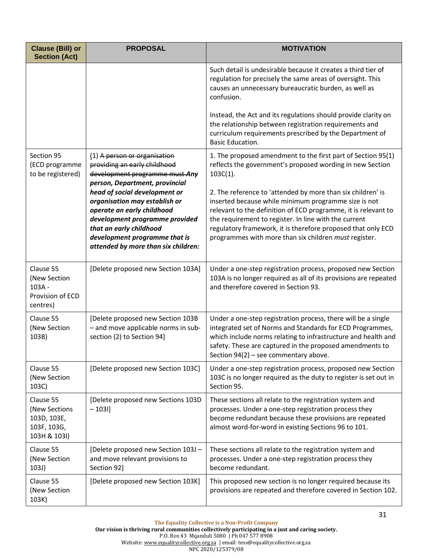| <b>Clause (Bill) or</b><br><b>Section (Act)</b>                          | <b>PROPOSAL</b>                                                                                                                                                                                                                   | <b>MOTIVATION</b>                                                                                                                                                                                                                                                                                                                                                       |
|--------------------------------------------------------------------------|-----------------------------------------------------------------------------------------------------------------------------------------------------------------------------------------------------------------------------------|-------------------------------------------------------------------------------------------------------------------------------------------------------------------------------------------------------------------------------------------------------------------------------------------------------------------------------------------------------------------------|
|                                                                          |                                                                                                                                                                                                                                   | Such detail is undesirable because it creates a third tier of<br>regulation for precisely the same areas of oversight. This<br>causes an unnecessary bureaucratic burden, as well as<br>confusion.                                                                                                                                                                      |
|                                                                          |                                                                                                                                                                                                                                   | Instead, the Act and its regulations should provide clarity on<br>the relationship between registration requirements and<br>curriculum requirements prescribed by the Department of<br><b>Basic Education.</b>                                                                                                                                                          |
| Section 95<br>(ECD programme<br>to be registered)                        | (1) A person or organisation<br>providing an early childhood<br>development programme must-Any<br>person, Department, provincial                                                                                                  | 1. The proposed amendment to the first part of Section 95(1)<br>reflects the government's proposed wording in new Section<br>$103C(1)$ .                                                                                                                                                                                                                                |
|                                                                          | head of social development or<br>organisation may establish or<br>operate an early childhood<br>development programme provided<br>that an early childhood<br>development programme that is<br>attended by more than six children: | 2. The reference to 'attended by more than six children' is<br>inserted because while minimum programme size is not<br>relevant to the definition of ECD programme, it is relevant to<br>the requirement to register. In line with the current<br>regulatory framework, it is therefore proposed that only ECD<br>programmes with more than six children must register. |
| Clause 55<br>(New Section<br>103A -<br>Provision of ECD<br>centres)      | [Delete proposed new Section 103A]                                                                                                                                                                                                | Under a one-step registration process, proposed new Section<br>103A is no longer required as all of its provisions are repeated<br>and therefore covered in Section 93.                                                                                                                                                                                                 |
| Clause 55<br>(New Section<br>103B)                                       | [Delete proposed new Section 103B<br>- and move applicable norms in sub-<br>section (2) to Section 94]                                                                                                                            | Under a one-step registration process, there will be a single<br>integrated set of Norms and Standards for ECD Programmes,<br>which include norms relating to infrastructure and health and<br>safety. These are captured in the proposed amendments to<br>Section $94(2)$ – see commentary above.                                                                      |
| Clause 55<br>(New Section<br>103C)                                       | [Delete proposed new Section 103C]                                                                                                                                                                                                | Under a one-step registration process, proposed new Section<br>103C is no longer required as the duty to register is set out in<br>Section 95.                                                                                                                                                                                                                          |
| Clause 55<br>(New Sections<br>103D, 103E,<br>103F, 103G,<br>103H & 103I) | [Delete proposed new Sections 103D<br>$-1031$                                                                                                                                                                                     | These sections all relate to the registration system and<br>processes. Under a one-step registration process they<br>become redundant because these provisions are repeated<br>almost word-for-word in existing Sections 96 to 101.                                                                                                                                     |
| Clause 55<br>(New Section<br>103J)                                       | [Delete proposed new Section 103J -<br>and move relevant provisions to<br>Section 92]                                                                                                                                             | These sections all relate to the registration system and<br>processes. Under a one-step registration process they<br>become redundant.                                                                                                                                                                                                                                  |
| Clause 55<br>(New Section<br>103K)                                       | [Delete proposed new Section 103K]                                                                                                                                                                                                | This proposed new section is no longer required because its<br>provisions are repeated and therefore covered in Section 102.                                                                                                                                                                                                                                            |